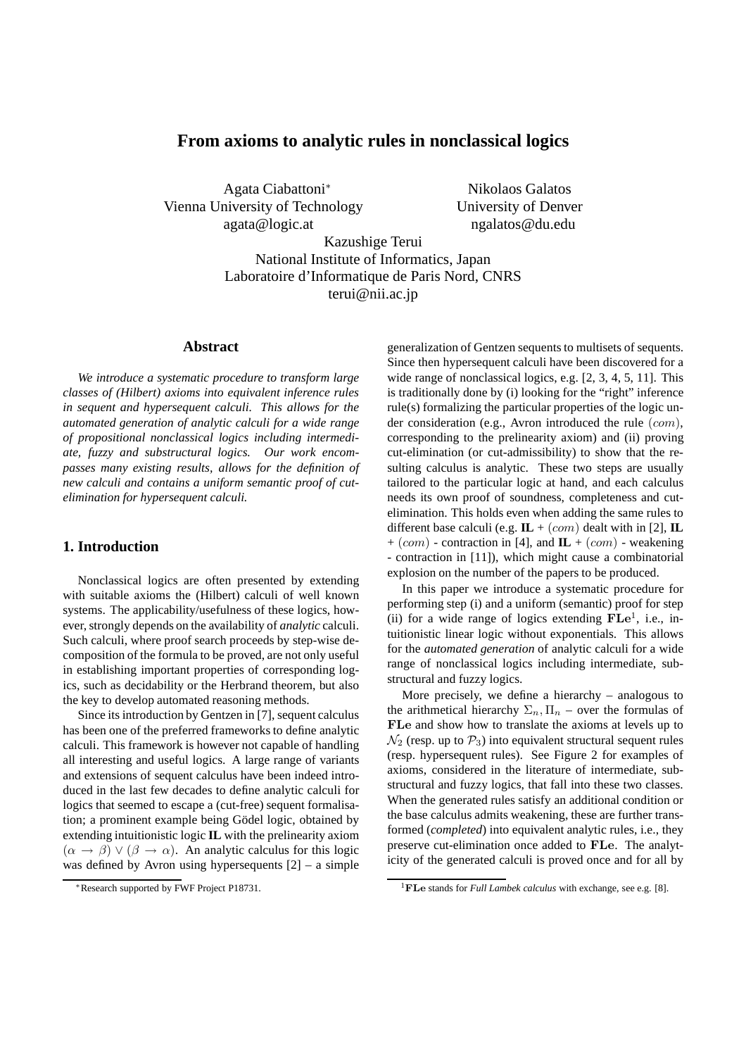# **From axioms to analytic rules in nonclassical logics**

Agata Ciabattoni<sup>∗</sup> Nikolaos Galatos Vienna University of Technology University of Denver agata@logic.at ngalatos@du.edu

Kazushige Terui National Institute of Informatics, Japan Laboratoire d'Informatique de Paris Nord, CNRS terui@nii.ac.jp

## **Abstract**

*We introduce a systematic procedure to transform large classes of (Hilbert) axioms into equivalent inference rules in sequent and hypersequent calculi. This allows for the automated generation of analytic calculi for a wide range of propositional nonclassical logics including intermediate, fuzzy and substructural logics. Our work encompasses many existing results, allows for the definition of new calculi and contains a uniform semantic proof of cutelimination for hypersequent calculi.*

## **1. Introduction**

Nonclassical logics are often presented by extending with suitable axioms the (Hilbert) calculi of well known systems. The applicability/usefulness of these logics, however, strongly depends on the availability of *analytic* calculi. Such calculi, where proof search proceeds by step-wise decomposition of the formula to be proved, are not only useful in establishing important properties of corresponding logics, such as decidability or the Herbrand theorem, but also the key to develop automated reasoning methods.

Since its introduction by Gentzen in [7], sequent calculus has been one of the preferred frameworks to define analytic calculi. This framework is however not capable of handling all interesting and useful logics. A large range of variants and extensions of sequent calculus have been indeed introduced in the last few decades to define analytic calculi for logics that seemed to escape a (cut-free) sequent formalisation; a prominent example being Gödel logic, obtained by extending intuitionistic logic **IL** with the prelinearity axiom  $(\alpha \rightarrow \beta) \vee (\beta \rightarrow \alpha)$ . An analytic calculus for this logic was defined by Avron using hypersequents  $[2]$  – a simple generalization of Gentzen sequents to multisets of sequents. Since then hypersequent calculi have been discovered for a wide range of nonclassical logics, e.g. [2, 3, 4, 5, 11]. This is traditionally done by (i) looking for the "right" inference rule(s) formalizing the particular properties of the logic under consideration (e.g., Avron introduced the rule (com), corresponding to the prelinearity axiom) and (ii) proving cut-elimination (or cut-admissibility) to show that the resulting calculus is analytic. These two steps are usually tailored to the particular logic at hand, and each calculus needs its own proof of soundness, completeness and cutelimination. This holds even when adding the same rules to different base calculi (e.g.  $\mathbf{IL} + (com)$  dealt with in [2],  $\mathbf{IL}$  $+(com)$  - contraction in [4], and **IL** + (com) - weakening - contraction in [11]), which might cause a combinatorial explosion on the number of the papers to be produced.

In this paper we introduce a systematic procedure for performing step (i) and a uniform (semantic) proof for step (ii) for a wide range of logics extending  $\mathbf{FLe}^1$ , i.e., intuitionistic linear logic without exponentials. This allows for the *automated generation* of analytic calculi for a wide range of nonclassical logics including intermediate, substructural and fuzzy logics.

More precisely, we define a hierarchy – analogous to the arithmetical hierarchy  $\Sigma_n$ ,  $\Pi_n$  – over the formulas of FLe and show how to translate the axioms at levels up to  $\mathcal{N}_2$  (resp. up to  $\mathcal{P}_3$ ) into equivalent structural sequent rules (resp. hypersequent rules). See Figure 2 for examples of axioms, considered in the literature of intermediate, substructural and fuzzy logics, that fall into these two classes. When the generated rules satisfy an additional condition or the base calculus admits weakening, these are further transformed (*completed*) into equivalent analytic rules, i.e., they preserve cut-elimination once added to FLe. The analyticity of the generated calculi is proved once and for all by

<sup>∗</sup>Research supported by FWF Project P18731.

<sup>1</sup>FLe stands for *Full Lambek calculus* with exchange, see e.g. [8].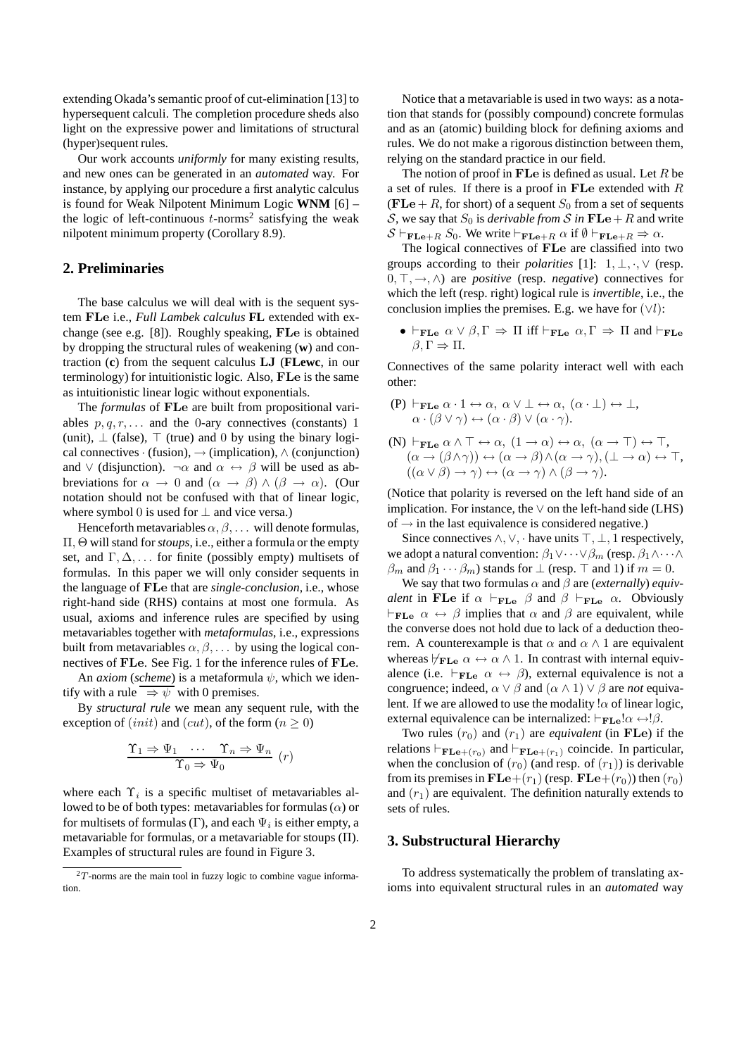extending Okada's semantic proof of cut-elimination [13] to hypersequent calculi. The completion procedure sheds also light on the expressive power and limitations of structural (hyper)sequent rules.

Our work accounts *uniformly* for many existing results, and new ones can be generated in an *automated* way. For instance, by applying our procedure a first analytic calculus is found for Weak Nilpotent Minimum Logic **WNM** [6] – the logic of left-continuous  $t$ -norms<sup>2</sup> satisfying the weak nilpotent minimum property (Corollary 8.9).

## **2. Preliminaries**

The base calculus we will deal with is the sequent system FLe i.e., *Full Lambek calculus* **FL** extended with exchange (see e.g. [8]). Roughly speaking, FLe is obtained by dropping the structural rules of weakening (**w**) and contraction (**c**) from the sequent calculus LJ (**FLewc**, in our terminology) for intuitionistic logic. Also, FLe is the same as intuitionistic linear logic without exponentials.

The *formulas* of FLe are built from propositional variables  $p, q, r, \ldots$  and the 0-ary connectives (constants) 1 (unit),  $\perp$  (false),  $\top$  (true) and 0 by using the binary logical connectives · (fusion),  $\rightarrow$  (implication),  $\land$  (conjunction) and  $\vee$  (disjunction).  $\neg \alpha$  and  $\alpha \leftrightarrow \beta$  will be used as abbreviations for  $\alpha \to 0$  and  $(\alpha \to \beta) \wedge (\beta \to \alpha)$ . (Our notation should not be confused with that of linear logic, where symbol 0 is used for  $\perp$  and vice versa.)

Henceforth metavariables  $\alpha, \beta, \ldots$  will denote formulas, Π, Θ will stand for*stoups*, i.e., either a formula or the empty set, and  $\Gamma, \Delta, \ldots$  for finite (possibly empty) multisets of formulas. In this paper we will only consider sequents in the language of FLe that are *single-conclusion*, i.e., whose right-hand side (RHS) contains at most one formula. As usual, axioms and inference rules are specified by using metavariables together with *metaformulas*, i.e., expressions built from metavariables  $\alpha, \beta, \ldots$  by using the logical connectives of FLe. See Fig. 1 for the inference rules of FLe.

An *axiom* (*scheme*) is a metaformula  $\psi$ , which we identify with a rule  $\Rightarrow \psi$  with 0 premises.

By *structural rule* we mean any sequent rule, with the exception of (*init*) and (*cut*), of the form ( $n \ge 0$ )

$$
\frac{\Upsilon_1 \Rightarrow \Psi_1 \quad \cdots \quad \Upsilon_n \Rightarrow \Psi_n}{\Upsilon_0 \Rightarrow \Psi_0} \quad (r)
$$

where each  $\Upsilon_i$  is a specific multiset of metavariables allowed to be of both types: metavariables for formulas  $(\alpha)$  or for multisets of formulas ( $\Gamma$ ), and each  $\Psi_i$  is either empty, a metavariable for formulas, or a metavariable for stoups (Π). Examples of structural rules are found in Figure 3.

Notice that a metavariable is used in two ways: as a notation that stands for (possibly compound) concrete formulas and as an (atomic) building block for defining axioms and rules. We do not make a rigorous distinction between them, relying on the standard practice in our field.

The notion of proof in  $\mathbf{F}$ Le is defined as usual. Let R be a set of rules. If there is a proof in FLe extended with R (FLe + R, for short) of a sequent  $S_0$  from a set of sequents S, we say that  $S_0$  is *derivable from* S in  $\mathbf{FLe} + R$  and write  $S \vdash_{\mathbf{FLe}+R} S_0$ . We write  $\vdash_{\mathbf{FLe}+R} \alpha$  if  $\emptyset \vdash_{\mathbf{FLe}+R} \Rightarrow \alpha$ .

The logical connectives of FLe are classified into two groups according to their *polarities* [1]: 1, ⊥, ·, ∨ (resp. 0, ⊤, →, ∧) are *positive* (resp. *negative*) connectives for which the left (resp. right) logical rule is *invertible*, i.e., the conclusion implies the premises. E.g. we have for  $(\forall l)$ :

 $\bullet \vdash_{\mathbf{FLe}} \alpha \vee \beta, \Gamma \Rightarrow \Pi \text{ iff } \vdash_{\mathbf{FLe}} \alpha, \Gamma \Rightarrow \Pi \text{ and } \vdash_{\mathbf{FLe}}$  $β, Γ ⇒ Π.$ 

Connectives of the same polarity interact well with each other:

(P)  $\vdash_{\mathbf{FLe}} \alpha \cdot 1 \leftrightarrow \alpha, \ \alpha \vee \bot \leftrightarrow \alpha, \ (\alpha \cdot \bot) \leftrightarrow \bot,$  $\alpha \cdot (\beta \vee \gamma) \leftrightarrow (\alpha \cdot \beta) \vee (\alpha \cdot \gamma).$ 

(N) 
$$
\vdash_{\mathbf{FLe}} \alpha \land \top \leftrightarrow \alpha
$$
,  $(1 \to \alpha) \leftrightarrow \alpha$ ,  $(\alpha \to \top) \leftrightarrow \top$ ,  
\n $(\alpha \to (\beta \land \gamma)) \leftrightarrow (\alpha \to \beta) \land (\alpha \to \gamma)$ ,  $( \bot \to \alpha) \leftrightarrow \top$ ,  
\n $((\alpha \lor \beta) \to \gamma) \leftrightarrow (\alpha \to \gamma) \land (\beta \to \gamma)$ .

(Notice that polarity is reversed on the left hand side of an implication. For instance, the  $\vee$  on the left-hand side (LHS) of  $\rightarrow$  in the last equivalence is considered negative.)

Since connectives  $\land$ ,  $\lor$ ,  $\cdot$  have units  $\top$ ,  $\bot$ , 1 respectively, we adopt a natural convention:  $\beta_1 \vee \cdots \vee \beta_m$  (resp.  $\beta_1 \wedge \cdots \wedge$  $\beta_m$  and  $\beta_1 \cdots \beta_m$ ) stands for  $\bot$  (resp.  $\top$  and 1) if  $m = 0$ .

We say that two formulas  $\alpha$  and  $\beta$  are *(externally) equivalent* in FLe if  $\alpha$  ⊢<sub>FLe</sub>  $\beta$  and  $\beta$  ⊢<sub>FLe</sub>  $\alpha$ . Obviously  $\vdash_{\mathbf{FLe}} \alpha \leftrightarrow \beta$  implies that  $\alpha$  and  $\beta$  are equivalent, while the converse does not hold due to lack of a deduction theorem. A counterexample is that  $\alpha$  and  $\alpha \wedge 1$  are equivalent whereas  $\forall_{\text{FLe}} \alpha \leftrightarrow \alpha \wedge 1$ . In contrast with internal equivalence (i.e.  $\vdash_{\mathbf{FLe}} \alpha \leftrightarrow \beta$ ), external equivalence is not a congruence; indeed,  $\alpha \vee \beta$  and  $(\alpha \wedge 1) \vee \beta$  are *not* equivalent. If we are allowed to use the modality  $\alpha$  of linear logic, external equivalence can be internalized:  $\vdash_{\mathbf{FLe}} ! \alpha \leftrightarrow ! \beta$ .

Two rules  $(r_0)$  and  $(r_1)$  are *equivalent* (in FLe) if the relations  $\vdash_{\mathbf{FLe} + (r_0)}$  and  $\vdash_{\mathbf{FLe} + (r_1)}$  coincide. In particular, when the conclusion of  $(r_0)$  (and resp. of  $(r_1)$ ) is derivable from its premises in  $\mathbf{FLe}+(r_1)$  (resp.  $\mathbf{FLe}+(r_0)$ ) then  $(r_0)$ and  $(r_1)$  are equivalent. The definition naturally extends to sets of rules.

## **3. Substructural Hierarchy**

To address systematically the problem of translating axioms into equivalent structural rules in an *automated* way

 $2T$ -norms are the main tool in fuzzy logic to combine vague information.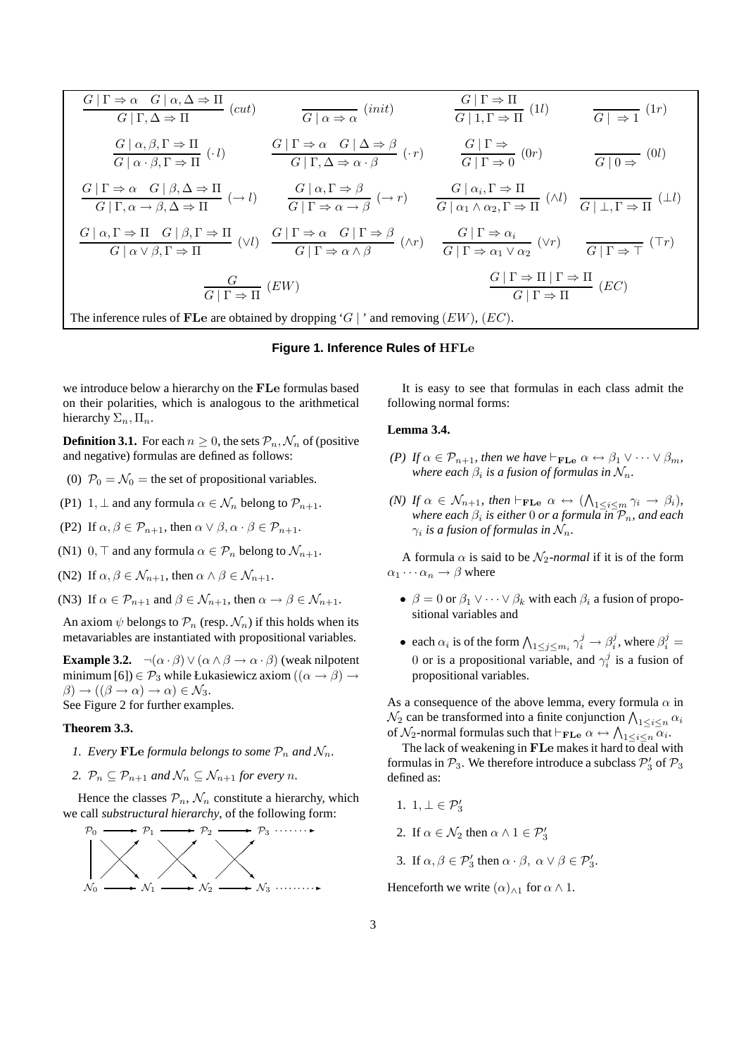$$
\frac{G \mid \Gamma \Rightarrow \alpha \quad G \mid \alpha, \Delta \Rightarrow \Pi}{G \mid \Gamma, \Delta \Rightarrow \Pi} (cut) \qquad \frac{G \mid \Gamma \Rightarrow \Pi}{G \mid \alpha \Rightarrow \alpha} (init) \qquad \frac{G \mid \Gamma \Rightarrow \Pi}{G \mid 1, \Gamma \Rightarrow \Pi} (1l) \qquad \frac{G \mid \alpha, \beta, \Gamma \Rightarrow \Pi}{G \mid \alpha \cdot \beta, \Gamma \Rightarrow \Pi} (\cdot l) \qquad \frac{G \mid \Gamma \Rightarrow \alpha \quad G \mid \Delta \Rightarrow \beta}{G \mid \Gamma, \Delta \Rightarrow \alpha \cdot \beta} (\cdot r) \qquad \frac{G \mid \Gamma \Rightarrow}{G \mid \Gamma \Rightarrow 0} (0r) \qquad \frac{G \mid \alpha, \beta, \Gamma \Rightarrow \Pi}{G \mid \alpha \cdot \beta, \Gamma \Rightarrow \Pi} (0l) \qquad \frac{G \mid \Gamma \Rightarrow \alpha \quad G \mid \beta, \Delta \Rightarrow \Pi}{G \mid \Gamma, \alpha \rightarrow \beta, \Delta \Rightarrow \Pi} (\rightarrow l) \qquad \frac{G \mid \alpha, \Gamma \Rightarrow \beta}{G \mid \Gamma \Rightarrow \alpha \rightarrow \beta} (\rightarrow r) \qquad \frac{G \mid \alpha_i, \Gamma \Rightarrow \Pi}{G \mid \alpha_1 \wedge \alpha_2, \Gamma \Rightarrow \Pi} (\wedge l) \qquad \frac{G \mid \bot, \Gamma \Rightarrow \Pi}{G \mid \bot, \Gamma \Rightarrow \Pi} (1l) \qquad \frac{G \mid \alpha, \Gamma \Rightarrow \beta}{G \mid \alpha \cdot \beta, \Gamma \Rightarrow \Pi} (1l) \qquad \frac{G \mid \Gamma \Rightarrow \alpha \quad G \mid \Gamma \Rightarrow \beta}{G \mid \Gamma \Rightarrow \alpha \rightarrow \beta} (\wedge r) \qquad \frac{G \mid \Gamma \Rightarrow \alpha_i}{G \mid \Gamma \Rightarrow \alpha_1 \vee \alpha_2} (\vee r) \qquad \frac{G \mid \Gamma \Rightarrow \top}{G \mid \Gamma \Rightarrow \top} (\top r) \qquad \frac{G}{G \mid \Gamma \Rightarrow \Pi} (EW) \qquad \frac{G \mid \Gamma \Rightarrow \Pi \mid \Gamma \Rightarrow \Pi}{G \mid \Gamma \Rightarrow \Pi} (EC) \qquad \frac{G \mid \Gamma \Rightarrow \Pi \mid \Gamma \Rightarrow \Pi}{G \mid \Gamma \Rightarrow \Pi} (EC) \qquad \frac{C \mid \Gamma \Rightarrow \Pi}{G \mid \Gamma \Rightarrow \Pi} (EC)
$$
\nThe inference rules of **FLe** are obtained by dropping 'G | ' and removing (*EW*), (*EC*

#### **Figure 1. Inference Rules of** HFLe

we introduce below a hierarchy on the FLe formulas based on their polarities, which is analogous to the arithmetical hierarchy  $\Sigma_n, \Pi_n$ .

**Definition 3.1.** For each  $n \geq 0$ , the sets  $\mathcal{P}_n$ ,  $\mathcal{N}_n$  of (positive and negative) formulas are defined as follows:

- (0)  $\mathcal{P}_0 = \mathcal{N}_0$  = the set of propositional variables.
- (P1) 1,  $\perp$  and any formula  $\alpha \in \mathcal{N}_n$  belong to  $\mathcal{P}_{n+1}$ .
- (P2) If  $\alpha, \beta \in \mathcal{P}_{n+1}$ , then  $\alpha \vee \beta, \alpha \cdot \beta \in \mathcal{P}_{n+1}$ .
- (N1) 0,  $\top$  and any formula  $\alpha \in \mathcal{P}_n$  belong to  $\mathcal{N}_{n+1}$ .
- (N2) If  $\alpha, \beta \in \mathcal{N}_{n+1}$ , then  $\alpha \wedge \beta \in \mathcal{N}_{n+1}$ .
- (N3) If  $\alpha \in \mathcal{P}_{n+1}$  and  $\beta \in \mathcal{N}_{n+1}$ , then  $\alpha \to \beta \in \mathcal{N}_{n+1}$ .

An axiom  $\psi$  belongs to  $\mathcal{P}_n$  (resp.  $\mathcal{N}_n$ ) if this holds when its metavariables are instantiated with propositional variables.

**Example 3.2.**  $\neg(\alpha \cdot \beta) \vee (\alpha \wedge \beta \rightarrow \alpha \cdot \beta)$  (weak nilpotent minimum [6])  $\in \mathcal{P}_3$  while Łukasiewicz axiom  $((\alpha \rightarrow \beta) \rightarrow$  $\beta$ )  $\rightarrow$  (( $\beta \rightarrow \alpha$ )  $\rightarrow$   $\alpha$ )  $\in$   $\mathcal{N}_3$ . See Figure 2 for further examples.

#### **Theorem 3.3.**

- *1. Every* FLe *formula belongs to some*  $P_n$  *and*  $\mathcal{N}_n$ *.*
- 2.  $\mathcal{P}_n \subseteq \mathcal{P}_{n+1}$  *and*  $\mathcal{N}_n \subseteq \mathcal{N}_{n+1}$  *for every n.*

Hence the classes  $\mathcal{P}_n$ ,  $\mathcal{N}_n$  constitute a hierarchy, which we call *substructural hierarchy*, of the following form:



It is easy to see that formulas in each class admit the following normal forms:

#### **Lemma 3.4.**

- *(P) If*  $\alpha \in \mathcal{P}_{n+1}$ *, then we have*  $\vdash_{\mathbf{FLe}} \alpha \leftrightarrow \beta_1 \vee \cdots \vee \beta_m$ *,* where each  $\beta_i$  is a fusion of formulas in  $\mathcal{N}_n.$
- *(N)* If  $\alpha \in \mathcal{N}_{n+1}$ , then  $\vdash_{\mathbf{FLe}} \alpha \leftrightarrow (\bigwedge_{1 \leq i \leq m} \gamma_i \rightarrow \beta_i)$ , *where each* β<sup>i</sup> *is either* 0 *or a formula in* Pn*, and each*  $\gamma_i$  is a fusion of formulas in  $\mathcal{N}_n$ .

A formula  $\alpha$  is said to be  $\mathcal{N}_2$ -normal if it is of the form  $\alpha_1 \cdots \alpha_n \rightarrow \beta$  where

- $\beta = 0$  or  $\beta_1 \vee \cdots \vee \beta_k$  with each  $\beta_i$  a fusion of propositional variables and
- each  $\alpha_i$  is of the form  $\bigwedge_{1 \leq j \leq m_i} \gamma_i^j \to \beta_i^j$ , where  $\beta_i^j =$ 0 or is a propositional variable, and  $\gamma_i^j$  is a fusion of propositional variables.

As a consequence of the above lemma, every formula  $\alpha$  in  $\mathcal{N}_2$  can be transformed into a finite conjunction  $\bigwedge_{1 \leq i \leq n} \alpha_i$ of  $\mathcal{N}_2$ -normal formulas such that  $\vdash_{\mathbf{FLe}} \alpha \leftrightarrow \bigwedge_{1 \leq i \leq n} \overline{\alpha_i}$ .

The lack of weakening in  $\mathbf{F}$ Le makes it hard to deal with formulas in  $P_3$ . We therefore introduce a subclass  $P'_3$  of  $P_3$ defined as:

- 1.  $1, \perp \in \mathcal{P}'_3$
- 2. If  $\alpha \in \mathcal{N}_2$  then  $\alpha \wedge 1 \in \mathcal{P}'_3$
- 3. If  $\alpha, \beta \in \mathcal{P}'_3$  then  $\alpha \cdot \beta$ ,  $\alpha \vee \beta \in \mathcal{P}'_3$ .

Henceforth we write  $(\alpha)_{\wedge 1}$  for  $\alpha \wedge 1$ .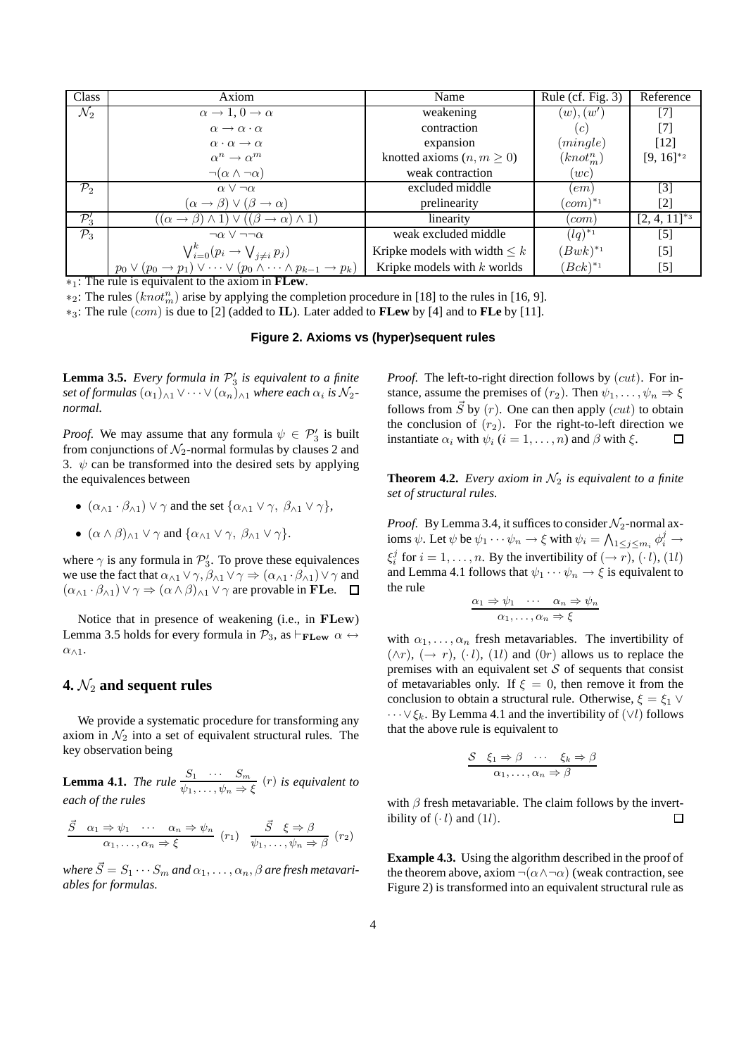| Class            | Axiom                                                                                                | Name                              | Rule (cf. Fig. $3$ )  | Reference         |
|------------------|------------------------------------------------------------------------------------------------------|-----------------------------------|-----------------------|-------------------|
| $\mathcal{N}_2$  | $\alpha \rightarrow 1, 0 \rightarrow \alpha$                                                         | weakening                         | (w), (w')             | $\lceil 7 \rceil$ |
|                  | $\alpha \rightarrow \alpha \cdot \alpha$                                                             | contraction                       | (c)                   | [7]               |
|                  | $\alpha \cdot \alpha \rightarrow \alpha$                                                             | expansion                         | (mingle)              | [12]              |
|                  | $\alpha^n \to \alpha^m$                                                                              | knotted axioms $(n, m \geq 0)$    | $(knot_n^n)$          | $[9, 16]^{*2}$    |
|                  | $\neg(\alpha \wedge \neg \alpha)$                                                                    | weak contraction                  | (wc)                  |                   |
| $\mathcal{P}_2$  | $\alpha \vee \neg \alpha$                                                                            | excluded middle                   | (em)                  | $\lceil 3 \rceil$ |
|                  | $(\alpha \rightarrow \beta) \vee (\beta \rightarrow \alpha)$                                         | prelinearity                      | $(com)^{*_1}$         | $[2]$             |
| $\mathcal{P}_3'$ | $((\alpha \rightarrow \beta) \land 1) \lor ((\beta \rightarrow \alpha) \land 1)$                     | linearity                         | $_{\text{l}}$ com $)$ | $[2, 4, 11]^{*3}$ |
| $\mathcal{P}_3$  | $\neg \alpha \vee \neg \neg \alpha$                                                                  | weak excluded middle              | $(lq)^{*_{1}}$        | $[5]$             |
|                  | $\bigvee_{i=0}^{k} (p_i \rightarrow \bigvee_{j \neq i} p_j)$                                         | Kripke models with width $\leq k$ | $(Bwk)^{*_1}$         | $[5]$             |
|                  | $p_0 \vee (p_0 \rightarrow p_1) \vee \cdots \vee (p_0 \wedge \cdots \wedge p_{k-1} \rightarrow p_k)$ | Kripke models with $k$ worlds     | $(Bck)^{*_1}$         | $[5]$             |

∗1: The rule is equivalent to the axiom in **FLew**.

 $*_2$ : The rules  $(knot_m^n)$  arise by applying the completion procedure in [18] to the rules in [16, 9].

∗3: The rule (com) is due to [2] (added to IL). Later added to **FLew** by [4] and to **FLe** by [11].

#### **Figure 2. Axioms vs (hyper)sequent rules**

**Lemma 3.5.** *Every formula in*  $P'_3$  *is equivalent to a finite* set of formulas  $(\alpha_1)_{\wedge 1} \vee \cdots \vee (\alpha_n)_{\wedge 1}$  where each  $\alpha_i$  is  $\mathcal{N}_2$ *normal.*

*Proof.* We may assume that any formula  $\psi \in \mathcal{P}'_3$  is built from conjunctions of  $\mathcal{N}_2$ -normal formulas by clauses 2 and 3.  $\psi$  can be transformed into the desired sets by applying the equivalences between

- $(\alpha_{\wedge 1} \cdot \beta_{\wedge 1}) \vee \gamma$  and the set  $\{\alpha_{\wedge 1} \vee \gamma, \beta_{\wedge 1} \vee \gamma\},\$
- $(\alpha \wedge \beta)_{\wedge 1} \vee \gamma$  and  $\{\alpha_{\wedge 1} \vee \gamma, \beta_{\wedge 1} \vee \gamma\}.$

where  $\gamma$  is any formula in  $\mathcal{P}'_3$ . To prove these equivalences we use the fact that  $\alpha_{\wedge 1} \vee \gamma$ ,  $\beta_{\wedge 1} \vee \gamma \Rightarrow (\alpha_{\wedge 1} \cdot \beta_{\wedge 1}) \vee \gamma$  and  $(\alpha_{\wedge 1} \cdot \beta_{\wedge 1}) \vee \gamma \Rightarrow (\alpha \wedge \beta)_{\wedge 1} \vee \gamma$  are provable in FLe.  $\Box$ 

Notice that in presence of weakening (i.e., in FLew) Lemma 3.5 holds for every formula in  $\mathcal{P}_3$ , as  $\vdash_{\textbf{FLew}} \alpha \leftrightarrow$  $\alpha_{\wedge 1}$ .

## **4.**  $\mathcal{N}_2$  and sequent rules

We provide a systematic procedure for transforming any axiom in  $\mathcal{N}_2$  into a set of equivalent structural rules. The key observation being

**Lemma 4.1.** *The rule*  $\frac{S_1 \cdots S_m}{\psi_1, \ldots, \psi_n \Rightarrow \xi}$  (*r*) *is equivalent to each of the rules*

$$
\frac{\vec{S} \quad \alpha_1 \Rightarrow \psi_1 \quad \cdots \quad \alpha_n \Rightarrow \psi_n}{\alpha_1, \ldots, \alpha_n \Rightarrow \xi} \quad (r_1) \quad \frac{\vec{S} \quad \xi \Rightarrow \beta}{\psi_1, \ldots, \psi_n \Rightarrow \beta} \quad (r_2)
$$

*where*  $\vec{S} = S_1 \cdots S_m$  *and*  $\alpha_1, \ldots, \alpha_n, \beta$  *are fresh metavariables for formulas.*

*Proof.* The left-to-right direction follows by  $(cut)$ . For instance, assume the premises of  $(r_2)$ . Then  $\psi_1, \ldots, \psi_n \Rightarrow \xi$ follows from  $\vec{S}$  by (r). One can then apply (cut) to obtain the conclusion of  $(r_2)$ . For the right-to-left direction we instantiate  $\alpha_i$  with  $\psi_i$  ( $i = 1, \ldots, n$ ) and  $\beta$  with  $\xi$ .  $\Box$ 

**Theorem 4.2.** *Every axiom in*  $\mathcal{N}_2$  *is equivalent to a finite set of structural rules.*

*Proof.* By Lemma 3.4, it suffices to consider  $\mathcal{N}_2$ -normal axioms  $\psi$ . Let  $\psi$  be  $\psi_1 \cdots \psi_n \to \xi$  with  $\psi_i = \bigwedge_{1 \leq j \leq m_i} \phi_i^j \to$  $\xi_i^j$  for  $i = 1, ..., n$ . By the invertibility of  $(\rightarrow r)$ ,  $(\cdot l)$ ,  $(1l)$ and Lemma 4.1 follows that  $\psi_1 \cdots \psi_n \rightarrow \xi$  is equivalent to the rule

$$
\frac{\alpha_1 \Rightarrow \psi_1 \quad \cdots \quad \alpha_n \Rightarrow \psi_n}{\alpha_1, \ldots, \alpha_n \Rightarrow \xi}
$$

with  $\alpha_1, \ldots, \alpha_n$  fresh metavariables. The invertibility of  $(\wedge r)$ ,  $(\rightarrow r)$ ,  $(\cdot l)$ ,  $(1l)$  and  $(0r)$  allows us to replace the premises with an equivalent set  $S$  of sequents that consist of metavariables only. If  $\xi = 0$ , then remove it from the conclusion to obtain a structural rule. Otherwise,  $\xi = \xi_1 \vee$  $\cdots \vee \xi_k$ . By Lemma 4.1 and the invertibility of  $(\vee l)$  follows that the above rule is equivalent to

$$
\frac{\mathcal{S} \quad \xi_1 \Rightarrow \beta \quad \cdots \quad \xi_k \Rightarrow \beta}{\alpha_1, \ldots, \alpha_n \Rightarrow \beta}
$$

with  $\beta$  fresh metavariable. The claim follows by the invertibility of  $(\cdot \, l)$  and  $(1l)$ .  $\Box$ 

**Example 4.3.** Using the algorithm described in the proof of the theorem above, axiom  $\neg(\alpha \land \neg \alpha)$  (weak contraction, see Figure 2) is transformed into an equivalent structural rule as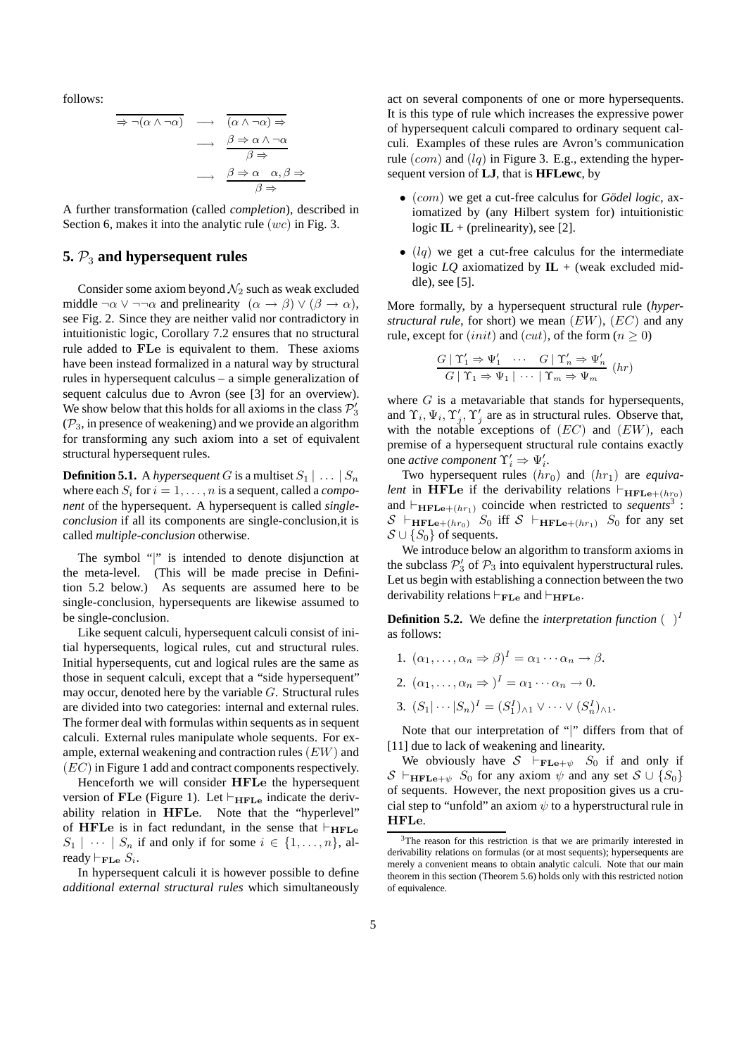follows:

$$
\Rightarrow \neg(\alpha \land \neg \alpha) \longrightarrow \overline{(\alpha \land \neg \alpha) \Rightarrow}
$$
\n
$$
\longrightarrow \frac{\beta \Rightarrow \alpha \land \neg \alpha}{\beta \Rightarrow}
$$
\n
$$
\longrightarrow \frac{\beta \Rightarrow \alpha \quad \alpha, \beta \Rightarrow}{\beta \Rightarrow}
$$

A further transformation (called *completion*), described in Section 6, makes it into the analytic rule  $(wc)$  in Fig. 3.

### **5.**  $\mathcal{P}_3$  and hypersequent rules

Consider some axiom beyond  $\mathcal{N}_2$  such as weak excluded middle  $\neg \alpha \lor \neg \neg \alpha$  and prelinearity  $(\alpha \to \beta) \lor (\beta \to \alpha)$ , see Fig. 2. Since they are neither valid nor contradictory in intuitionistic logic, Corollary 7.2 ensures that no structural rule added to FLe is equivalent to them. These axioms have been instead formalized in a natural way by structural rules in hypersequent calculus – a simple generalization of sequent calculus due to Avron (see [3] for an overview). We show below that this holds for all axioms in the class  $P'_3$  $(\mathcal{P}_3)$ , in presence of weakening) and we provide an algorithm for transforming any such axiom into a set of equivalent structural hypersequent rules.

**Definition 5.1.** A *hypersequent* G is a multiset  $S_1 | \ldots | S_n$ where each  $S_i$  for  $i = 1, \ldots, n$  is a sequent, called a *component* of the hypersequent. A hypersequent is called *singleconclusion* if all its components are single-conclusion,it is called *multiple-conclusion* otherwise.

The symbol "|" is intended to denote disjunction at the meta-level. (This will be made precise in Definition 5.2 below.) As sequents are assumed here to be single-conclusion, hypersequents are likewise assumed to be single-conclusion.

Like sequent calculi, hypersequent calculi consist of initial hypersequents, logical rules, cut and structural rules. Initial hypersequents, cut and logical rules are the same as those in sequent calculi, except that a "side hypersequent" may occur, denoted here by the variable  $G$ . Structural rules are divided into two categories: internal and external rules. The former deal with formulas within sequents as in sequent calculi. External rules manipulate whole sequents. For example, external weakening and contraction rules (EW) and (EC) in Figure 1 add and contract components respectively.

Henceforth we will consider HFLe the hypersequent version of FLe (Figure 1). Let  $\vdash_{\textbf{HFLe}}$  indicate the derivability relation in HFLe. Note that the "hyperlevel" of HFLe is in fact redundant, in the sense that  $\vdash_{\text{HFLe}}$  $S_1 \mid \cdots \mid S_n$  if and only if for some  $i \in \{1, \ldots, n\}$ , already  $\vdash_{\mathbf{FLe}} S_i$ .

In hypersequent calculi it is however possible to define *additional external structural rules* which simultaneously act on several components of one or more hypersequents. It is this type of rule which increases the expressive power of hypersequent calculi compared to ordinary sequent calculi. Examples of these rules are Avron's communication rule  $(com)$  and  $(lq)$  in Figure 3. E.g., extending the hypersequent version of **LJ**, that is **HFLewc**, by

- $(com)$  we get a cut-free calculus for *Gödel logic*, axiomatized by (any Hilbert system for) intuitionistic logic  $IL + (prelinearity)$ , see [2].
- $\bullet$  (lq) we get a cut-free calculus for the intermediate logic  $LQ$  axiomatized by  $IL +$  (weak excluded middle), see [5].

More formally, by a hypersequent structural rule (*hyperstructural rule*, for short) we mean (EW), (EC) and any rule, except for  $(init)$  and  $(cut)$ , of the form  $(n \ge 0)$ 

$$
\frac{G \mid \Upsilon_1' \Rightarrow \Psi_1' \quad \cdots \quad G \mid \Upsilon_n' \Rightarrow \Psi_n'}{G \mid \Upsilon_1 \Rightarrow \Psi_1 \mid \cdots \mid \Upsilon_m \Rightarrow \Psi_m} \quad (hr)
$$

where  $G$  is a metavariable that stands for hypersequents, and  $\Upsilon_i, \Psi_i, \Upsilon'_j, \Upsilon'_j$  are as in structural rules. Observe that, with the notable exceptions of  $(EC)$  and  $(EW)$ , each premise of a hypersequent structural rule contains exactly one *active component*  $\Upsilon'_i \Rightarrow \Psi'_i$ .

Two hypersequent rules  $(hr_0)$  and  $(hr_1)$  are *equivalent* in HFLe if the derivability relations  $\vdash_{\textbf{HFLe} + (hr_0)}$ and  $\vdash_{\mathbf{HFLe} + (hr_1)}$  coincide when restricted to *sequents*<sup>3</sup>:  $S \vdash_{\textbf{HFLe}+(hr_0)} S_0$  iff  $S \vdash_{\textbf{HFLe}+(hr_1)} S_0$  for any set  $S \cup \{S_0\}$  of sequents.

We introduce below an algorithm to transform axioms in the subclass  $P'_3$  of  $P_3$  into equivalent hyperstructural rules. Let us begin with establishing a connection between the two derivability relations  $\vdash_{\mathbf{FLe}}$  and  $\vdash_{\mathbf{HFLe}}$ .

**Definition 5.2.** We define the *interpretation function*  $\begin{pmatrix} 1 \end{pmatrix}$ as follows:

- 1.  $(\alpha_1, \ldots, \alpha_n \Rightarrow \beta)^I = \alpha_1 \cdots \alpha_n \rightarrow \beta$ .
- 2.  $(\alpha_1, \ldots, \alpha_n \Rightarrow)^I = \alpha_1 \cdots \alpha_n \rightarrow 0.$
- 3.  $(S_1 | \cdots | S_n)^I = (S_1^I)_{\wedge 1} \vee \cdots \vee (S_n^I)_{\wedge 1}.$

Note that our interpretation of "|" differs from that of [11] due to lack of weakening and linearity.

We obviously have  $S \vdash_{\mathbf{FLe}+\psi} S_0$  if and only if  $S \vdash_{\textbf{HFLe}+\psi} S_0$  for any axiom  $\psi$  and any set  $S \cup \{S_0\}$ of sequents. However, the next proposition gives us a crucial step to "unfold" an axiom  $\psi$  to a hyperstructural rule in HFLe.

 $3<sup>3</sup>$ The reason for this restriction is that we are primarily interested in derivability relations on formulas (or at most sequents); hypersequents are merely a convenient means to obtain analytic calculi. Note that our main theorem in this section (Theorem 5.6) holds only with this restricted notion of equivalence.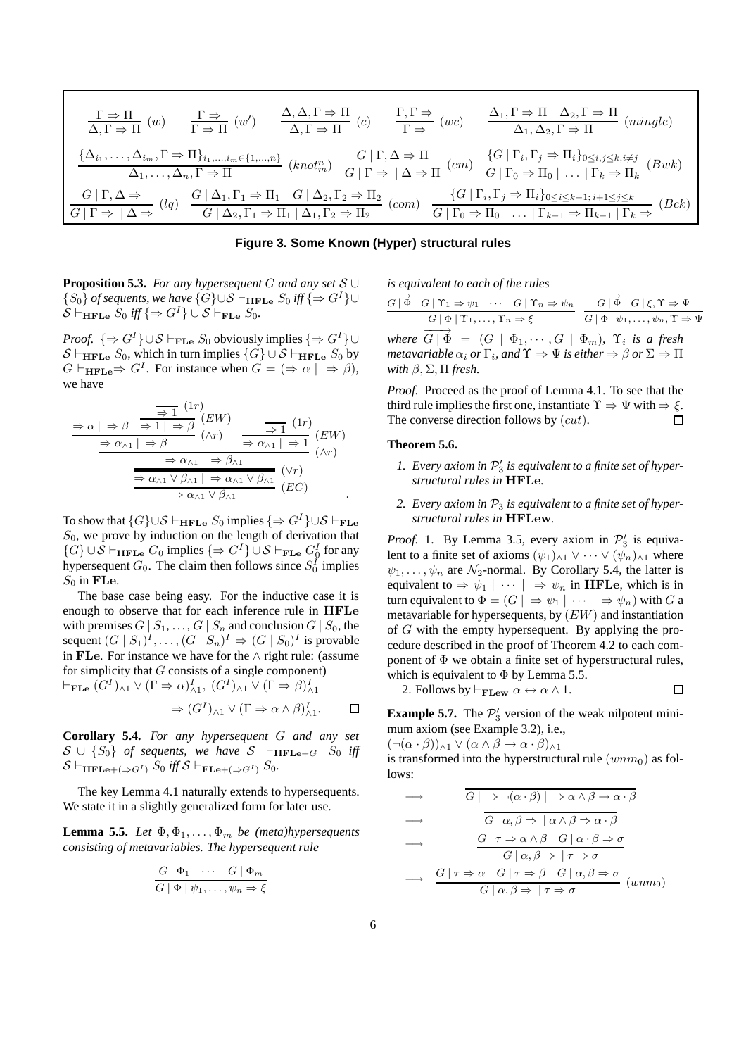$$
\frac{\Gamma \Rightarrow \Pi}{\Delta, \Gamma \Rightarrow \Pi} (w) \qquad \frac{\Gamma \Rightarrow}{\Gamma \Rightarrow \Pi} (w') \qquad \frac{\Delta, \Delta, \Gamma \Rightarrow \Pi}{\Delta, \Gamma \Rightarrow \Pi} (c) \qquad \frac{\Gamma, \Gamma \Rightarrow}{\Gamma \Rightarrow} (wc) \qquad \frac{\Delta_1, \Gamma \Rightarrow \Pi \Delta_2, \Gamma \Rightarrow \Pi}{\Delta_1, \Delta_2, \Gamma \Rightarrow \Pi} (mingle)
$$
\n
$$
\frac{\{\Delta_{i_1}, \dots, \Delta_{i_m}, \Gamma \Rightarrow \Pi\}_{i_1, \dots, i_m \in \{1, \dots, n\}}}{\Delta_1, \dots, \Delta_n, \Gamma \Rightarrow \Pi} (knot_m^n) \qquad \frac{G \mid \Gamma, \Delta \Rightarrow \Pi}{G \mid \Gamma \Rightarrow |\Delta \Rightarrow \Pi} (em) \qquad \frac{\{G \mid \Gamma_i, \Gamma_j \Rightarrow \Pi_i\}_{0 \le i, j \le k, i \ne j}}{\Gamma \Rightarrow |\Delta \Rightarrow \Pi_k} (Bwk)
$$
\n
$$
\frac{G \mid \Gamma, \Delta \Rightarrow}{G \mid \Gamma \Rightarrow |\Delta \Rightarrow} (lq) \qquad \frac{G \mid \Delta_1, \Gamma_1 \Rightarrow \Pi_1 \quad G \mid \Delta_2, \Gamma_2 \Rightarrow \Pi_2}{G \mid \Delta_2, \Gamma_2 \Rightarrow \Pi_2} (com) \qquad \frac{\{G \mid \Gamma_i, \Gamma_j \Rightarrow \Pi_i\}_{0 \le i \le k-1; i+1 \le j \le k}}{\Gamma \Rightarrow |\Delta \Rightarrow |\Delta \Rightarrow} (Bck)
$$

**Figure 3. Some Known (Hyper) structural rules**

**Proposition 5.3.** *For any hypersequent* G *and any set* S ∪  ${S_0}$  *of sequents, we have*  ${G} \cup S \vdash_{HFLe} S_0$  *iff*  ${⇒ G<sup>I</sup>}$  $\mathcal{S} \vdash_{\textbf{HFLe}} S_0$  *iff*  $\{\Rightarrow G^I\} \cup \mathcal{S} \vdash_{\textbf{FLe}} S_0$ .

*Proof.*  $\{\Rightarrow G^I\} \cup \mathcal{S} \vdash_{\mathbf{FLe}} S_0$  obviously implies  $\{\Rightarrow G^I\} \cup$  $S \vdash_{\textbf{HFLe}} S_0$ , which in turn implies  $\{G\} \cup S \vdash_{\textbf{HFLe}} S_0$  by  $G \vdash_{\textbf{HFLe}} \Rightarrow G^I$ . For instance when  $G = (\Rightarrow \alpha \mid \Rightarrow \beta)$ , we have

$$
\frac{\Rightarrow \alpha \mid \Rightarrow \beta \quad \frac{\Rightarrow 1}{\Rightarrow 1 \mid \Rightarrow \beta} (EW)}{\Rightarrow \alpha_{\land 1} \mid \Rightarrow \beta} (\land r) \quad \frac{\Rightarrow 1}{\Rightarrow 1} (1r) (EW) \\
\frac{\Rightarrow \alpha_{\land 1} \mid \Rightarrow \beta}{\Rightarrow \alpha_{\land 1} \mid \Rightarrow \beta_{\land 1}} (\land r) \\
\frac{\Rightarrow \alpha_{\land 1} \mid \Rightarrow \beta_{\land 1}}{\Rightarrow \alpha_{\land 1} \lor \beta_{\land 1} \mid \Rightarrow \alpha_{\land 1} \lor \beta_{\land 1}} (VC) \\
\Rightarrow \alpha_{\land 1} \lor \beta_{\land 1} (EC) \quad .
$$

To show that  $\{G\} \cup \mathcal{S} \vdash_{\mathbf{HFLe}} S_0$  implies  $\{\Rightarrow G^I\} \cup \mathcal{S} \vdash_{\mathbf{FLe}}$  $S<sub>0</sub>$ , we prove by induction on the length of derivation that  $\{G\} \cup S \vdash_{\textbf{HFLe}} G_0 \text{ implies } \{\Rightarrow G^I\} \cup S \vdash_{\textbf{FLe}} G_0^I \text{ for any }$ hypersequent  $G_0$ . The claim then follows since  $S_0^I$  implies  $S_0$  in FLe.

The base case being easy. For the inductive case it is enough to observe that for each inference rule in HFLe with premises  $G \mid S_1, \ldots, G \mid S_n$  and conclusion  $G \mid S_0$ , the sequent  $(G \mid S_1)^I, \ldots, (G \mid S_n)^I \Rightarrow (G \mid S_0)^I$  is provable in FLe. For instance we have for the ∧ right rule: (assume for simplicity that  $G$  consists of a single component)  $\vdash_{\mathbf{FLe}} (G^I)_{\wedge 1} \vee (\Gamma \Rightarrow \alpha)_{\wedge 1}^I$ ,  $(G^I)_{\wedge 1} \vee (\Gamma \Rightarrow \beta)_{\wedge 1}^I$ 

$$
\Rightarrow (G^I)_{\wedge 1} \vee (\Gamma \Rightarrow \alpha \wedge \beta)_{\wedge 1}^I. \Box
$$

**Corollary 5.4.** *For any hypersequent* G *and any set*  $S \cup \{S_0\}$  of sequents, we have  $S \vdash_{\textbf{HFLe}+G} S_0$  *iff*  $S \vdash_{\textbf{HFLe}+(\Rightarrow G^I)} S_0$  *iff*  $S \vdash_{\textbf{FLe}+(\Rightarrow G^I)} S_0$ *.* 

The key Lemma 4.1 naturally extends to hypersequents. We state it in a slightly generalized form for later use.

**Lemma 5.5.** *Let*  $\Phi$ ,  $\Phi$ <sub>1</sub>, ...,  $\Phi$ <sub>m</sub> *be (meta)hypersequents consisting of metavariables. The hypersequent rule*

$$
\frac{G \mid \Phi_1 \quad \cdots \quad G \mid \Phi_m}{G \mid \Phi \mid \psi_1, \ldots, \psi_n \Rightarrow \xi}
$$

*is equivalent to each of the rules*

$$
\overrightarrow{G|\Phi} \quad G|\Upsilon_1 \Rightarrow \psi_1 \quad \cdots \quad G|\Upsilon_n \Rightarrow \psi_n
$$
\n
$$
\overrightarrow{G|\Phi} \quad G|\xi, \Upsilon \Rightarrow \Psi
$$
\n
$$
\overrightarrow{G|\Phi} \mid \Upsilon_1, \ldots, \Upsilon_n \Rightarrow \xi
$$
\n
$$
\overrightarrow{G|\Phi}|\psi_1, \ldots, \psi_n, \Upsilon \Rightarrow \Psi
$$

 $where \overrightarrow{G \mid \Phi} = (G \mid \Phi_1, \cdots, G \mid \Phi_m)$ ,  $\Upsilon_i$  is a fresh  $m$ etavariable  $\alpha_i$  or  $\Gamma_i$ , and  $\Upsilon \Rightarrow \Psi$  is either  $\Rightarrow \beta$  or  $\Sigma \Rightarrow \Pi$ *with*  $\beta$ ,  $\Sigma$ ,  $\Pi$  *fresh.* 

*Proof.* Proceed as the proof of Lemma 4.1. To see that the third rule implies the first one, instantiate  $\Upsilon \Rightarrow \Psi$  with  $\Rightarrow \xi$ . The converse direction follows by  $(cut)$ .  $\Box$ 

### **Theorem 5.6.**

- 1. Every axiom in  $\mathcal{P}'_3$  is equivalent to a finite set of hyper*structural rules in* HFLe*.*
- 2. Every axiom in  $\mathcal{P}_3$  is equivalent to a finite set of hyper*structural rules in* HFLew*.*

*Proof.* 1. By Lemma 3.5, every axiom in  $P'_3$  is equivalent to a finite set of axioms  $(\psi_1)_{\wedge 1} \vee \cdots \vee (\psi_n)_{\wedge 1}$  where  $\psi_1, \ldots, \psi_n$  are  $\mathcal{N}_2$ -normal. By Corollary 5.4, the latter is equivalent to  $\Rightarrow \psi_1 \mid \cdots \mid \Rightarrow \psi_n$  in HFLe, which is in turn equivalent to  $\Phi = (G \mid \Rightarrow \psi_1 \mid \cdots \mid \Rightarrow \psi_n)$  with G a metavariable for hypersequents, by  $(EW)$  and instantiation of  $G$  with the empty hypersequent. By applying the procedure described in the proof of Theorem 4.2 to each component of  $\Phi$  we obtain a finite set of hyperstructural rules, which is equivalent to  $\Phi$  by Lemma 5.5.

2. Follows by 
$$
\vdash_{\text{FLew}} \alpha \leftrightarrow \alpha \wedge 1
$$
.

**Example 5.7.** The  $P'_3$  version of the weak nilpotent minimum axiom (see Example 3.2), i.e.,

 $(\neg(\alpha \cdot \beta))_{\wedge 1} \vee (\alpha \wedge \beta \rightarrow \alpha \cdot \beta)_{\wedge 1}$ 

is transformed into the hyperstructural rule  $(wm_0)$  as follows:

$$
\begin{array}{c}\n\rightarrow \qquad \overline{G \mid \Rightarrow \neg(\alpha \cdot \beta) \mid \Rightarrow \alpha \land \beta \to \alpha \cdot \beta} \\
\longrightarrow \qquad \overline{G \mid \alpha, \beta \Rightarrow \mid \alpha \land \beta \Rightarrow \alpha \cdot \beta} \\
\longrightarrow \qquad \frac{G \mid \tau \Rightarrow \alpha \land \beta \quad G \mid \alpha \cdot \beta \Rightarrow \sigma}{G \mid \alpha, \beta \Rightarrow \mid \tau \Rightarrow \sigma} \\
\longrightarrow \qquad \frac{G \mid \tau \Rightarrow \alpha \quad G \mid \tau \Rightarrow \beta \quad G \mid \alpha, \beta \Rightarrow \sigma}{G \mid \alpha, \beta \Rightarrow \mid \tau \Rightarrow \sigma} \quad (wnm_0)\n\end{array}
$$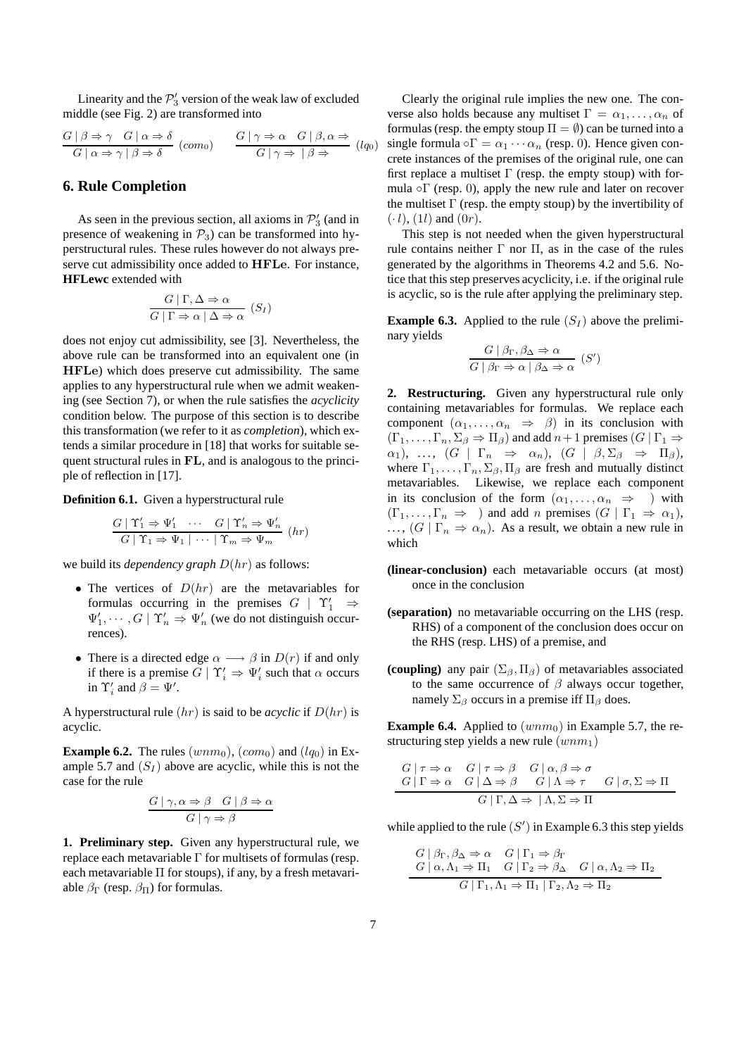Linearity and the  $\mathcal{P}'_3$  version of the weak law of excluded middle (see Fig. 2) are transformed into

$$
\frac{G \mid \beta \Rightarrow \gamma \quad G \mid \alpha \Rightarrow \delta}{G \mid \alpha \Rightarrow \gamma \mid \beta \Rightarrow \delta} \quad (com_0) \qquad \frac{G \mid \gamma \Rightarrow \alpha \quad G \mid \beta, \alpha \Rightarrow}{G \mid \gamma \Rightarrow \mid \beta \Rightarrow} \quad (lq_0)
$$

### **6. Rule Completion**

As seen in the previous section, all axioms in  $\mathcal{P}'_3$  (and in presence of weakening in  $\mathcal{P}_3$ ) can be transformed into hyperstructural rules. These rules however do not always preserve cut admissibility once added to HFLe. For instance, **HFLewc** extended with

$$
\frac{G \mid \Gamma, \Delta \Rightarrow \alpha}{G \mid \Gamma \Rightarrow \alpha \mid \Delta \Rightarrow \alpha} (S_I)
$$

does not enjoy cut admissibility, see [3]. Nevertheless, the above rule can be transformed into an equivalent one (in HFLe) which does preserve cut admissibility. The same applies to any hyperstructural rule when we admit weakening (see Section 7), or when the rule satisfies the *acyclicity* condition below. The purpose of this section is to describe this transformation (we refer to it as *completion*), which extends a similar procedure in [18] that works for suitable sequent structural rules in FL, and is analogous to the principle of reflection in [17].

**Definition 6.1.** Given a hyperstructural rule

$$
\frac{G \mid \Upsilon_1' \Rightarrow \Psi_1' \quad \cdots \quad G \mid \Upsilon_n' \Rightarrow \Psi_n'}{G \mid \Upsilon_1 \Rightarrow \Psi_1 \mid \cdots \mid \Upsilon_m \Rightarrow \Psi_m} \quad (hr)
$$

we build its *dependency graph* D(hr) as follows:

- The vertices of  $D(hr)$  are the metavariables for formulas occurring in the premises  $G \mid \Upsilon'_1 \Rightarrow$  $\Psi'_1, \cdots, G \mid \Upsilon'_n \Rightarrow \Psi'_n$  (we do not distinguish occurrences).
- There is a directed edge  $\alpha \longrightarrow \beta$  in  $D(r)$  if and only if there is a premise  $G | \Upsilon'_i \Rightarrow \Psi'_i$  such that  $\alpha$  occurs in  $\Upsilon'_i$  and  $\beta = \Psi'$ .

A hyperstructural rule  $(hr)$  is said to be *acyclic* if  $D(hr)$  is acyclic.

**Example 6.2.** The rules  $(wm_0)$ ,  $(com_0)$  and  $(lq_0)$  in Example 5.7 and  $(S_I)$  above are acyclic, while this is not the case for the rule

$$
\frac{G \mid \gamma, \alpha \Rightarrow \beta \quad G \mid \beta \Rightarrow \alpha}{G \mid \gamma \Rightarrow \beta}
$$

**1. Preliminary step.** Given any hyperstructural rule, we replace each metavariable Γ for multisets of formulas (resp. each metavariable  $\Pi$  for stoups), if any, by a fresh metavariable  $\beta_{\Gamma}$  (resp.  $\beta_{\Pi}$ ) for formulas.

Clearly the original rule implies the new one. The converse also holds because any multiset  $\Gamma = \alpha_1, \dots, \alpha_n$  of formulas (resp. the empty stoup  $\Pi = \emptyset$ ) can be turned into a single formula  $\circ \Gamma = \alpha_1 \cdots \alpha_n$  (resp. 0). Hence given concrete instances of the premises of the original rule, one can first replace a multiset  $\Gamma$  (resp. the empty stoup) with formula  $\circ$ Γ (resp. 0), apply the new rule and later on recover the multiset  $\Gamma$  (resp. the empty stoup) by the invertibility of  $(·l)$ ,  $(1l)$  and  $(0r)$ .

This step is not needed when the given hyperstructural rule contains neither Γ nor Π, as in the case of the rules generated by the algorithms in Theorems 4.2 and 5.6. Notice that this step preserves acyclicity, i.e. if the original rule is acyclic, so is the rule after applying the preliminary step.

**Example 6.3.** Applied to the rule  $(S_I)$  above the preliminary yields

$$
\frac{G \mid \beta_{\Gamma}, \beta_{\Delta} \Rightarrow \alpha}{G \mid \beta_{\Gamma} \Rightarrow \alpha \mid \beta_{\Delta} \Rightarrow \alpha} (S')
$$

**2. Restructuring.** Given any hyperstructural rule only containing metavariables for formulas. We replace each component  $(\alpha_1, \ldots, \alpha_n \Rightarrow \beta)$  in its conclusion with  $(\Gamma_1, \ldots, \Gamma_n, \Sigma_\beta \Rightarrow \Pi_\beta)$  and add  $n+1$  premises  $(G | \Gamma_1 \Rightarrow$  $\alpha_1$ , ...,  $(G | \Gamma_n \Rightarrow \alpha_n)$ ,  $(G | \beta, \Sigma_\beta \Rightarrow \Pi_\beta)$ , where  $\Gamma_1, \ldots, \Gamma_n, \Sigma_\beta, \Pi_\beta$  are fresh and mutually distinct metavariables. Likewise, we replace each component in its conclusion of the form  $(\alpha_1, \dots, \alpha_n \Rightarrow)$  with  $(\Gamma_1, \ldots, \Gamma_n \Rightarrow)$  and add n premises  $(G | \Gamma_1 \Rightarrow \alpha_1)$ , ...,  $(G | \Gamma_n \Rightarrow \alpha_n)$ . As a result, we obtain a new rule in which

- **(linear-conclusion)** each metavariable occurs (at most) once in the conclusion
- **(separation)** no metavariable occurring on the LHS (resp. RHS) of a component of the conclusion does occur on the RHS (resp. LHS) of a premise, and
- **(coupling)** any pair  $(\Sigma_{\beta}, \Pi_{\beta})$  of metavariables associated to the same occurrence of  $\beta$  always occur together, namely  $\Sigma_{\beta}$  occurs in a premise iff  $\Pi_{\beta}$  does.

**Example 6.4.** Applied to  $(wm_0)$  in Example 5.7, the restructuring step yields a new rule  $(wnm_1)$ 

$$
G | \tau \Rightarrow \alpha \quad G | \tau \Rightarrow \beta \quad G | \alpha, \beta \Rightarrow \sigma
$$
  

$$
G | \Gamma \Rightarrow \alpha \quad G | \Delta \Rightarrow \beta \quad G | \Delta \Rightarrow \tau \quad G | \sigma, \Sigma \Rightarrow \Pi
$$
  

$$
G | \Gamma, \Delta \Rightarrow | \Lambda, \Sigma \Rightarrow \Pi
$$

while applied to the rule  $(S')$  in Example 6.3 this step yields

$$
G \mid \beta_{\Gamma}, \beta_{\Delta} \Rightarrow \alpha \quad G \mid \Gamma_{1} \Rightarrow \beta_{\Gamma}
$$
  
\n
$$
G \mid \alpha, \Lambda_{1} \Rightarrow \Pi_{1} \quad G \mid \Gamma_{2} \Rightarrow \beta_{\Delta} \quad G \mid \alpha, \Lambda_{2} \Rightarrow \Pi_{2}
$$
  
\n
$$
G \mid \Gamma_{1}, \Lambda_{1} \Rightarrow \Pi_{1} \mid \Gamma_{2}, \Lambda_{2} \Rightarrow \Pi_{2}
$$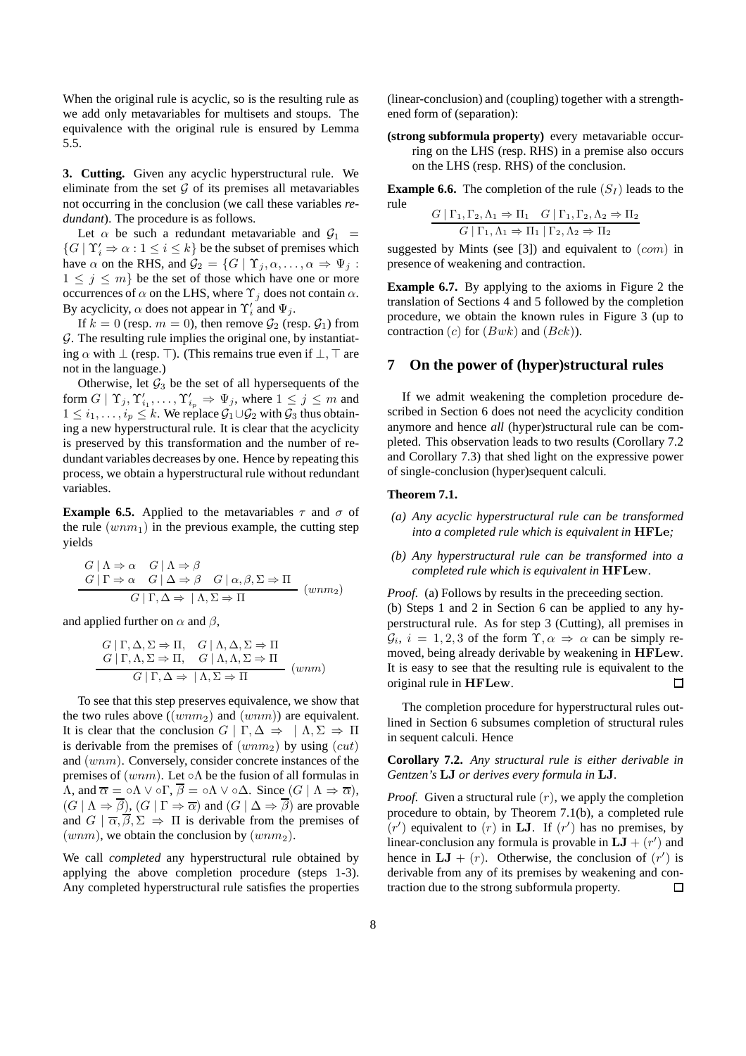When the original rule is acyclic, so is the resulting rule as we add only metavariables for multisets and stoups. The equivalence with the original rule is ensured by Lemma 5.5.

**3. Cutting.** Given any acyclic hyperstructural rule. We eliminate from the set  $G$  of its premises all metavariables not occurring in the conclusion (we call these variables *redundant*). The procedure is as follows.

Let  $\alpha$  be such a redundant metavariable and  $\mathcal{G}_1$  =  $\{G \mid \Upsilon_i' \Rightarrow \alpha : 1 \leq i \leq k\}$  be the subset of premises which have  $\alpha$  on the RHS, and  $\mathcal{G}_2 = \{G \mid \Upsilon_j, \alpha, \dots, \alpha \Rightarrow \Psi_j :$  $1 \leq j \leq m$  be the set of those which have one or more occurrences of  $\alpha$  on the LHS, where  $\Upsilon_j$  does not contain  $\alpha$ . By acyclicity,  $\alpha$  does not appear in  $\Upsilon'_i$  and  $\Psi_j$ .

If  $k = 0$  (resp.  $m = 0$ ), then remove  $\mathcal{G}_2$  (resp.  $\mathcal{G}_1$ ) from  $G$ . The resulting rule implies the original one, by instantiating  $\alpha$  with  $\perp$  (resp. ⊤). (This remains true even if  $\perp$ , ⊤ are not in the language.)

Otherwise, let  $\mathcal{G}_3$  be the set of all hypersequents of the form  $G | \Upsilon_j, \Upsilon'_{i_1}, \ldots, \Upsilon'_{i_p} \Rightarrow \Psi_j$ , where  $1 \leq j \leq m$  and  $1 \leq i_1, \ldots, i_p \leq k$ . We replace  $\mathcal{G}_1 \cup \mathcal{G}_2$  with  $\mathcal{G}_3$  thus obtaining a new hyperstructural rule. It is clear that the acyclicity is preserved by this transformation and the number of redundant variables decreases by one. Hence by repeating this process, we obtain a hyperstructural rule without redundant variables.

**Example 6.5.** Applied to the metavariables  $\tau$  and  $\sigma$  of the rule  $(wnm_1)$  in the previous example, the cutting step yields

$$
\frac{G \mid \Lambda \Rightarrow \alpha \quad G \mid \Lambda \Rightarrow \beta}{G \mid \Gamma \Rightarrow \alpha \quad G \mid \Delta \Rightarrow \beta \quad G \mid \alpha, \beta, \Sigma \Rightarrow \Pi}
$$
  

$$
\frac{G \mid \Gamma, \Delta \Rightarrow \Lambda, \Sigma \Rightarrow \Pi}{\alpha \mid \Gamma, \Delta \Rightarrow \Lambda, \Sigma \Rightarrow \Pi}
$$
(*umn*<sub>2</sub>)

and applied further on  $\alpha$  and  $\beta$ ,

$$
\frac{G \mid \Gamma, \Delta, \Sigma \Rightarrow \Pi, \quad G \mid \Lambda, \Delta, \Sigma \Rightarrow \Pi}{G \mid \Gamma, \Lambda, \Sigma \Rightarrow \Pi, \quad G \mid \Lambda, \Lambda, \Sigma \Rightarrow \Pi}
$$
  

$$
G \mid \Gamma, \Delta \Rightarrow \Lambda, \Sigma \Rightarrow \Pi
$$
 (wnm)

To see that this step preserves equivalence, we show that the two rules above  $((wnm<sub>2</sub>)$  and  $(wnm))$  are equivalent. It is clear that the conclusion  $G | \Gamma, \Delta \Rightarrow |\Lambda, \Sigma \Rightarrow \Pi$ is derivable from the premises of  $(wnm<sub>2</sub>)$  by using  $(cut)$ and (wnm). Conversely, consider concrete instances of the premises of  $(wm)$ . Let ∘ $\Lambda$  be the fusion of all formulas in  $\Lambda$ , and  $\overline{\alpha} = \circ \Lambda \vee \circ \Gamma$ ,  $\overline{\beta} = \circ \Lambda \vee \circ \Delta$ . Since  $(G | \Lambda \Rightarrow \overline{\alpha})$ ,  $(G | \Lambda \Rightarrow \overline{\beta})$ ,  $(G | \Gamma \Rightarrow \overline{\alpha})$  and  $(G | \Delta \Rightarrow \overline{\beta})$  are provable and  $G \mid \overline{\alpha}, \overline{\beta}, \Sigma \Rightarrow \Pi$  is derivable from the premises of  $(wnm)$ , we obtain the conclusion by  $(wnm<sub>2</sub>)$ .

We call *completed* any hyperstructural rule obtained by applying the above completion procedure (steps 1-3). Any completed hyperstructural rule satisfies the properties

(linear-conclusion) and (coupling) together with a strengthened form of (separation):

**(strong subformula property)** every metavariable occurring on the LHS (resp. RHS) in a premise also occurs on the LHS (resp. RHS) of the conclusion.

**Example 6.6.** The completion of the rule  $(S_I)$  leads to the rule

$$
\frac{G \mid \Gamma_1, \Gamma_2, \Lambda_1 \Rightarrow \Pi_1 \quad G \mid \Gamma_1, \Gamma_2, \Lambda_2 \Rightarrow \Pi_2}{G \mid \Gamma_1, \Lambda_1 \Rightarrow \Pi_1 \mid \Gamma_2, \Lambda_2 \Rightarrow \Pi_2}
$$

suggested by Mints (see [3]) and equivalent to  $(com)$  in presence of weakening and contraction.

**Example 6.7.** By applying to the axioms in Figure 2 the translation of Sections 4 and 5 followed by the completion procedure, we obtain the known rules in Figure 3 (up to contraction  $(c)$  for  $(Bwk)$  and  $(Bck)$ ).

### **7 On the power of (hyper)structural rules**

If we admit weakening the completion procedure described in Section 6 does not need the acyclicity condition anymore and hence *all* (hyper)structural rule can be completed. This observation leads to two results (Corollary 7.2 and Corollary 7.3) that shed light on the expressive power of single-conclusion (hyper)sequent calculi.

#### **Theorem 7.1.**

- *(a) Any acyclic hyperstructural rule can be transformed into a completed rule which is equivalent in* HFLe*;*
- *(b) Any hyperstructural rule can be transformed into a completed rule which is equivalent in* HFLew*.*

*Proof.* (a) Follows by results in the preceeding section. (b) Steps 1 and 2 in Section 6 can be applied to any hyperstructural rule. As for step 3 (Cutting), all premises in  $\mathcal{G}_i$ ,  $i = 1, 2, 3$  of the form  $\Upsilon, \alpha \Rightarrow \alpha$  can be simply removed, being already derivable by weakening in HFLew. It is easy to see that the resulting rule is equivalent to the original rule in HFLew.  $\Box$ 

The completion procedure for hyperstructural rules outlined in Section 6 subsumes completion of structural rules in sequent calculi. Hence

**Corollary 7.2.** *Any structural rule is either derivable in Gentzen's* LJ *or derives every formula in* LJ*.*

*Proof.* Given a structural rule  $(r)$ , we apply the completion procedure to obtain, by Theorem 7.1(b), a completed rule  $(r')$  equivalent to  $(r)$  in LJ. If  $(r')$  has no premises, by linear-conclusion any formula is provable in  $LJ + (r')$  and hence in  $LJ + (r)$ . Otherwise, the conclusion of  $(r')$  is derivable from any of its premises by weakening and contraction due to the strong subformula property.  $\Box$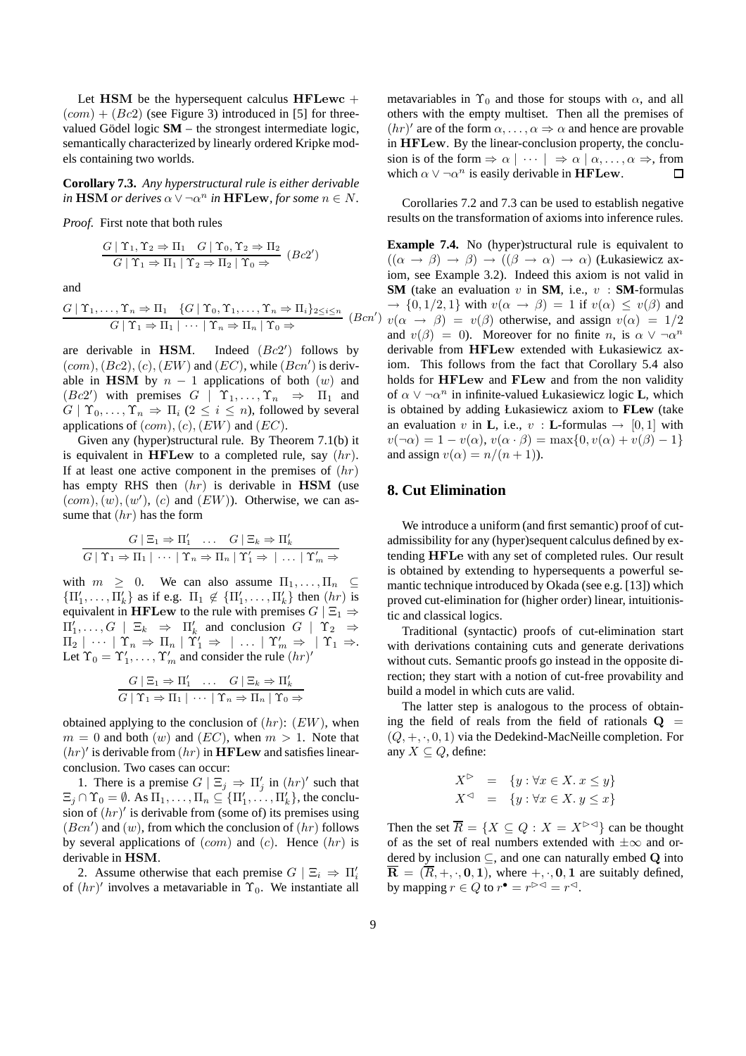Let HSM be the hypersequent calculus HFLewc  $+$  $(com) + (Bc2)$  (see Figure 3) introduced in [5] for threevalued Gödel logic  $SM$  – the strongest intermediate logic, semantically characterized by linearly ordered Kripke models containing two worlds.

**Corollary 7.3.** *Any hyperstructural rule is either derivable*  $\overline{\text{in HSM}}$  *or derives*  $\alpha \vee \neg \alpha^n$  *in* **HFLew**, for some  $n \in N$ .

*Proof.* First note that both rules

$$
\frac{G \mid \Upsilon_1, \Upsilon_2 \Rightarrow \Pi_1 \quad G \mid \Upsilon_0, \Upsilon_2 \Rightarrow \Pi_2}{G \mid \Upsilon_1 \Rightarrow \Pi_1 \mid \Upsilon_2 \Rightarrow \Pi_2 \mid \Upsilon_0 \Rightarrow} (Bc2')
$$

and

$$
\frac{G \mid \Upsilon_1, \dots, \Upsilon_n \Rightarrow \Pi_1 \quad \{G \mid \Upsilon_0, \Upsilon_1, \dots, \Upsilon_n \Rightarrow \Pi_i\}_{2 \leq i \leq n}}{G \mid \Upsilon_1 \Rightarrow \Pi_1 \mid \dots \mid \Upsilon_n \Rightarrow \Pi_n \mid \Upsilon_0 \Rightarrow} \quad (Bcn')
$$

are derivable in HSM. ′ ) follows by  $(com), (Bc2), (c), (EW)$  and  $(EC)$ , while  $(Bcn')$  is derivable in HSM by  $n - 1$  applications of both  $(w)$  and  $(Bc2')$  with premises  $G \mid \Upsilon_1, \ldots, \Upsilon_n \Rightarrow \Pi_1$  and  $G | \Upsilon_0, \ldots, \Upsilon_n \Rightarrow \Pi_i (2 \leq i \leq n)$ , followed by several applications of  $(com), (c), (EW)$  and  $(EC)$ .

Given any (hyper)structural rule. By Theorem 7.1(b) it is equivalent in HFLew to a completed rule, say  $(hr)$ . If at least one active component in the premises of  $(hr)$ has empty RHS then  $(hr)$  is derivable in HSM (use  $(com), (w), (w')$ ,  $(c)$  and  $(EW)$ ). Otherwise, we can assume that  $(hr)$  has the form

$$
\frac{G \mid \Xi_1 \Rightarrow \Pi'_1 \quad \dots \quad G \mid \Xi_k \Rightarrow \Pi'_k}{G \mid \Upsilon_1 \Rightarrow \Pi_1 \mid \dots \mid \Upsilon_n \Rightarrow \Pi_n \mid \Upsilon'_1 \Rightarrow \dots \mid \Upsilon'_m \Rightarrow}
$$

with  $m \geq 0$ . We can also assume  $\Pi_1, \ldots, \Pi_n \subseteq$  $\{\Pi'_1, \ldots, \Pi'_k\}$  as if e.g.  $\Pi_1 \notin \{\Pi'_1, \ldots, \Pi'_k\}$  then  $(hr)$  is equivalent in HFLew to the rule with premises  $G \mid \Xi_1 \Rightarrow$  $\Pi'_1,\ldots,G \mid \Xi_k \Rightarrow \Pi'_k$  and conclusion  $G \mid \Upsilon_2 \Rightarrow$  $\Pi_2 \mid \cdots \mid \Upsilon_n \Rightarrow \Pi_n \mid \Upsilon_1' \Rightarrow \mid \ldots \mid \Upsilon_m' \Rightarrow \mid \Upsilon_1 \Rightarrow$ Let  $\Upsilon_0 = \Upsilon'_1, \ldots, \Upsilon'_m$  and consider the rule  $(hr)'$ 

$$
\frac{G \mid \Xi_1 \Rightarrow \Pi'_1 \quad \dots \quad G \mid \Xi_k \Rightarrow \Pi'_k}{G \mid \Upsilon_1 \Rightarrow \Pi_1 \mid \dots \mid \Upsilon_n \Rightarrow \Pi_n \mid \Upsilon_0 \Rightarrow}
$$

obtained applying to the conclusion of  $(hr)$ :  $(EW)$ , when  $m = 0$  and both  $(w)$  and  $(EC)$ , when  $m > 1$ . Note that  $(hr)'$  is derivable from  $(hr)$  in HFLew and satisfies linearconclusion. Two cases can occur:

1. There is a premise  $G \mid \Xi_j \implies \Pi'_j$  in  $(hr)'$  such that  $\Xi_j \cap \Upsilon_0 = \emptyset$ . As  $\Pi_1, \ldots, \Pi_n \subseteq {\Pi'_1, \ldots, \Pi'_k}$ , the conclusion of  $(hr)'$  is derivable from (some of) its premises using  $(Bcn')$  and  $(w)$ , from which the conclusion of  $(hr)$  follows by several applications of  $(com)$  and  $(c)$ . Hence  $(hr)$  is derivable in HSM.

2. Assume otherwise that each premise  $G \mid \Xi_i \Rightarrow \Pi'_i$ of  $(hr)'$  involves a metavariable in  $\Upsilon_0$ . We instantiate all metavariables in  $\Upsilon_0$  and those for stoups with  $\alpha$ , and all others with the empty multiset. Then all the premises of  $(hr)'$  are of the form  $\alpha, \dots, \alpha \Rightarrow \alpha$  and hence are provable in HFLew. By the linear-conclusion property, the conclusion is of the form  $\Rightarrow \alpha \mid \cdots \mid \Rightarrow \alpha \mid \alpha, \ldots, \alpha \Rightarrow$ , from which  $\alpha \vee \neg \alpha^n$  is easily derivable in HFLew.  $\Box$ 

Corollaries 7.2 and 7.3 can be used to establish negative results on the transformation of axioms into inference rules.

)  $v(\alpha \rightarrow \beta) = v(\beta)$  otherwise, and assign  $v(\alpha) = 1/2$ **Example 7.4.** No (hyper)structural rule is equivalent to  $((\alpha \rightarrow \beta) \rightarrow \beta) \rightarrow ((\beta \rightarrow \alpha) \rightarrow \alpha)$  (Łukasiewicz axiom, see Example 3.2). Indeed this axiom is not valid in **SM** (take an evaluation v in **SM**, i.e.,  $v : SM$ -formulas  $\rightarrow$  {0,1/2,1} with  $v(\alpha \rightarrow \beta) = 1$  if  $v(\alpha) \leq v(\beta)$  and and  $v(\beta) = 0$ ). Moreover for no finite n, is  $\alpha \vee \neg \alpha^n$ derivable from HFLew extended with Łukasiewicz axiom. This follows from the fact that Corollary 5.4 also holds for HFLew and FLew and from the non validity of  $\alpha \vee \neg \alpha^n$  in infinite-valued Łukasiewicz logic **L**, which is obtained by adding Łukasiewicz axiom to **FLew** (take an evaluation v in **L**, i.e., v : **L**-formulas  $\rightarrow$  [0, 1] with  $v(\neg \alpha) = 1 - v(\alpha)$ ,  $v(\alpha \cdot \beta) = \max\{0, v(\alpha) + v(\beta) - 1\}$ and assign  $v(\alpha) = n/(n+1)$ ).

## **8. Cut Elimination**

We introduce a uniform (and first semantic) proof of cutadmissibility for any (hyper)sequent calculus defined by extending HFLe with any set of completed rules. Our result is obtained by extending to hypersequents a powerful semantic technique introduced by Okada (see e.g. [13]) which proved cut-elimination for (higher order) linear, intuitionistic and classical logics.

Traditional (syntactic) proofs of cut-elimination start with derivations containing cuts and generate derivations without cuts. Semantic proofs go instead in the opposite direction; they start with a notion of cut-free provability and build a model in which cuts are valid.

The latter step is analogous to the process of obtaining the field of reals from the field of rationals  $Q =$  $(Q, +, \cdot, 0, 1)$  via the Dedekind-MacNeille completion. For any  $X \subseteq Q$ , define:

$$
X^{\triangleright} = \{ y : \forall x \in X. \ x \le y \}
$$
  

$$
X^{\triangleleft} = \{ y : \forall x \in X. \ y \le x \}
$$

Then the set  $\overline{R} = \{X \subseteq Q : X = X^{\triangleright\triangleleft}\}\)$  can be thought of as the set of real numbers extended with  $\pm\infty$  and ordered by inclusion  $\subset$ , and one can naturally embed Q into  $\overline{\mathbf{R}} = (\overline{R}, +, \cdot, 0, 1)$ , where  $+,\cdot, 0, 1$  are suitably defined, by mapping  $r \in Q$  to  $r^{\bullet} = r^{\triangleright\triangleleft} = r^{\triangleleft}$ .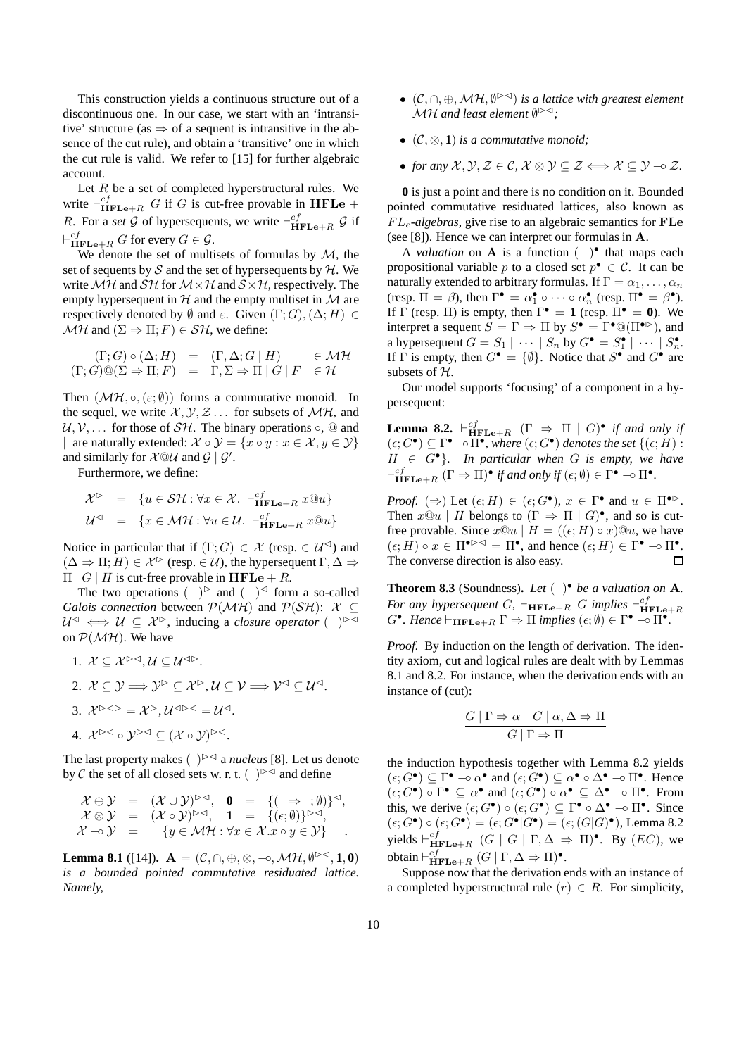This construction yields a continuous structure out of a discontinuous one. In our case, we start with an 'intransitive' structure (as  $\Rightarrow$  of a sequent is intransitive in the absence of the cut rule), and obtain a 'transitive' one in which the cut rule is valid. We refer to [15] for further algebraic account.

Let  $R$  be a set of completed hyperstructural rules. We write  $\vdash_{\mathbf{HFLe}+R}^{cf} G$  if G is cut-free provable in HFLe + R. For a *set* G of hypersequents, we write  $\vdash_{\mathbf{HFLe}+R}^{cf}$  G if  $\vdash^{\mathit{cf}}_{\mathbf{HFLe}+R} G$  for every  $G \in \mathcal{G}$ .

We denote the set of multisets of formulas by  $M$ , the set of sequents by  $S$  and the set of hypersequents by  $H$ . We write  $\mathcal{MH}$  and  $\mathcal{SH}$  for  $\mathcal{M}\times\mathcal{H}$  and  $\mathcal{S}\times\mathcal{H}$ , respectively. The empty hypersequent in  $H$  and the empty multiset in  $M$  are respectively denoted by  $\emptyset$  and  $\varepsilon$ . Given  $(\Gamma; G), (\Delta; H) \in$  $\mathcal{MH}$  and  $(\Sigma \Rightarrow \Pi; F) \in \mathcal{SH}$ , we define:

$$
(\Gamma; G) \circ (\Delta; H) = (\Gamma, \Delta; G | H) \in \mathcal{MH}
$$
  

$$
(\Gamma; G) @ (\Sigma \Rightarrow \Pi; F) = \Gamma, \Sigma \Rightarrow \Pi | G | F \in \mathcal{H}
$$

Then  $(\mathcal{MH}, \circ, (\varepsilon;\emptyset))$  forms a commutative monoid. In the sequel, we write  $\mathcal{X}, \mathcal{Y}, \mathcal{Z} \dots$  for subsets of  $\mathcal{M}H$ , and  $U, V, \ldots$  for those of  $S H$ . The binary operations  $\circ$ , @ and | are naturally extended:  $\mathcal{X} \circ \mathcal{Y} = \{x \circ y : x \in \mathcal{X}, y \in \mathcal{Y}\}\$ and similarly for  $X@U$  and  $G | G'$ .

Furthermore, we define:

$$
\mathcal{X}^{\triangleright} = \{ u \in \mathcal{SH} : \forall x \in \mathcal{X}. \ \vdash_{\mathbf{HFLe}+R}^{cf} x @u \}
$$

$$
\mathcal{U}^{\triangleleft} = \{ x \in \mathcal{MH} : \forall u \in \mathcal{U}. \ \vdash_{\mathbf{HFLe}+R}^{cf} x @u \}
$$

Notice in particular that if  $(\Gamma; G) \in \mathcal{X}$  (resp.  $\in \mathcal{U}^{\leq}$ ) and  $(\Delta \Rightarrow \Pi; H) \in \mathcal{X}^{\triangleright}$  (resp.  $\in \mathcal{U}$ ), the hypersequent  $\Gamma, \Delta \Rightarrow$  $\Pi \mid G \mid H$  is cut-free provable in HFLe + R.

The two operations  $( )^{\triangleright}$  and  $( )^{\triangleleft}$  form a so-called *Galois connection* between  $P(\mathcal{MH})$  and  $P(\mathcal{SH})$ : X ⊆  $U^{\triangleleft} \iff U \subseteq \mathcal{X}^{\triangleright}$ , inducing a *closure operator* ( )<sup> $\triangleright\triangleleft$ </sup> on  $P(\mathcal{MH})$ . We have

\n- 1. 
$$
\mathcal{X} \subseteq \mathcal{X}^{\triangleright\triangleleft}, \mathcal{U} \subseteq \mathcal{U}^{\triangleleft\triangleright}.
$$
\n- 2.  $\mathcal{X} \subseteq \mathcal{Y} \Longrightarrow \mathcal{Y}^{\triangleright} \subseteq \mathcal{X}^{\triangleright}, \mathcal{U} \subseteq \mathcal{V} \Longrightarrow \mathcal{V}^{\triangleleft} \subseteq \mathcal{U}^{\triangleleft}.$
\n- 3.  $\mathcal{X}^{\triangleright\triangleleft\triangleright} = \mathcal{X}^{\triangleright}, \mathcal{U}^{\triangleleft\triangleright\triangleleft} = \mathcal{U}^{\triangleleft}.$
\n- 4.  $\mathcal{X}^{\triangleright\triangleleft} \circ \mathcal{Y}^{\triangleright\triangleleft} \subseteq (\mathcal{X} \circ \mathcal{Y})^{\triangleright\triangleleft}.$
\n

The last property makes  $( ) \triangleright \triangleleft a$  *nucleus* [8]. Let us denote by C the set of all closed sets w. r. t. ( $\rangle^{\triangleright\triangleleft}$  and define

$$
\mathcal{X} \oplus \mathcal{Y} = (\mathcal{X} \cup \mathcal{Y})^{\triangleright \triangleleft}, \quad 0 = \{ (\Rightarrow : \emptyset) \}^{\triangleleft}, \mathcal{X} \otimes \mathcal{Y} = (\mathcal{X} \circ \mathcal{Y})^{\triangleright \triangleleft}, \quad 1 = \{ (\epsilon; \emptyset) \}^{\triangleright \triangleleft}, \mathcal{X} \rightarrow \mathcal{Y} = \{ y \in \mathcal{M} \: : \: \forall x \in \mathcal{X}.x \circ y \in \mathcal{Y} \}.
$$

**Lemma 8.1** ([14]).  $\mathbf{A} = (\mathcal{C}, \cap, \oplus, \otimes, \neg \circ, \mathcal{M} \mathcal{H}, \emptyset^{\triangleright} \triangleleft, \mathbf{1}, \mathbf{0})$ *is a bounded pointed commutative residuated lattice. Namely,*

- (C, ∩, ⊕,MH, ∅ ✄✁) *is a lattice with greatest element*  $\mathcal{M}$ H and least element  $\emptyset$ <sup> $\triangleright$ </sub>⊲<sub>;</sub></sup>
- (C, ⊗, **1**) *is a commutative monoid;*
- *for any*  $\mathcal{X}, \mathcal{Y}, \mathcal{Z} \in \mathcal{C}, \mathcal{X} \otimes \mathcal{Y} \subseteq \mathcal{Z} \Longleftrightarrow \mathcal{X} \subseteq \mathcal{Y} \multimap \mathcal{Z}.$

**0** is just a point and there is no condition on it. Bounded pointed commutative residuated lattices, also known as FLe-*algebras*, give rise to an algebraic semantics for FLe (see [8]). Hence we can interpret our formulas in A.

A *valuation* on **A** is a function  $($   $)$  that maps each propositional variable p to a closed set  $p^{\bullet} \in C$ . It can be naturally extended to arbitrary formulas. If  $\Gamma = \alpha_1, \dots, \alpha_n$ (resp.  $\Pi = \beta$ ), then  $\Gamma^{\bullet} = \alpha_1^{\bullet} \circ \cdots \circ \alpha_n^{\bullet}$  (resp.  $\Pi^{\bullet} = \beta^{\bullet}$ ). If  $\Gamma$  (resp.  $\Pi$ ) is empty, then  $\Gamma^{\bullet} = 1$  (resp.  $\Pi^{\bullet} = 0$ ). We interpret a sequent  $S = \Gamma \Rightarrow \Pi$  by  $S^{\bullet} = \Gamma^{\bullet} @ (\Pi^{\bullet \rhd})$ , and a hypersequent  $G = S_1 \mid \cdots \mid S_n$  by  $G^{\bullet} = S_1^{\bullet} \mid \cdots \mid S_n^{\bullet}$ . If  $\Gamma$  is empty, then  $G^{\bullet} = {\emptyset}$ . Notice that  $S^{\bullet}$  and  $G^{\bullet}$  are subsets of  $H$ .

Our model supports 'focusing' of a component in a hypersequent:

**Lemma 8.2.**  $\vdash_{\mathbf{HFLe}+R}^{cf} (\Gamma \Rightarrow \Pi | G)$ • *if and only if*  $(\epsilon; G^{\bullet}) \subseteq \Gamma^{\bullet} \rightarrow \Pi^{\bullet}$ , where  $(\epsilon; G^{\bullet})$  denotes the set  $\{(\epsilon; H) :$  $H \in G^{\bullet}$ *). In particular when* G *is empty, we have*  $\vdash_{\mathbf{HFLe}+R}^{cf} (\Gamma \Rightarrow \Pi)^{\bullet}$  *if and only if*  $(\epsilon; \emptyset) \in \Gamma^{\bullet} \multimap \Pi^{\bullet}$ .

*Proof.*  $(\Rightarrow)$  Let  $(\epsilon; H) \in (\epsilon; G^{\bullet}), x \in \Gamma^{\bullet}$  and  $u \in \Pi^{\bullet \triangleright}.$ Then  $x@u \mid H$  belongs to  $(\Gamma \Rightarrow \Pi \mid G)^{\bullet}$ , and so is cutfree provable. Since  $x@u \mid H = ((\epsilon; H) \circ x)@u$ , we have  $(\epsilon; H) \circ x \in \Pi^{\bullet} \geq \Pi^{\bullet}$ , and hence  $(\epsilon; H) \in \Gamma^{\bullet} \to \Pi^{\bullet}$ . The converse direction is also easy.  $\Box$ 

**Theorem 8.3** (Soundness)**.** *Let* ( )• *be a valuation on* A*. For any hypersequent*  $G$ ,  $\vdash_{\mathbf{HFLe}+R} G$  *implies*  $\vdash_{\mathbf{HFLe}+R}^{cf} G^{\bullet}$ .<br> $G^{\bullet}$ . Hence  $\vdash_{\mathbf{HFLe}+R} \Gamma \Rightarrow \Pi$  *implies*  $(\epsilon; \emptyset) \in \Gamma^{\bullet} \neg \circ \Pi^{\bullet}$ .

*Proof.* By induction on the length of derivation. The identity axiom, cut and logical rules are dealt with by Lemmas 8.1 and 8.2. For instance, when the derivation ends with an instance of (cut):

$$
\frac{G \mid \Gamma \Rightarrow \alpha \quad G \mid \alpha, \Delta \Rightarrow \Pi}{G \mid \Gamma \Rightarrow \Pi}
$$

the induction hypothesis together with Lemma 8.2 yields  $(\epsilon; G^{\bullet}) \subseteq \Gamma^{\bullet} \to \alpha^{\bullet}$  and  $(\epsilon; G^{\bullet}) \subseteq \alpha^{\bullet} \circ \Delta^{\bullet} \to \Pi^{\bullet}$ . Hence  $(\epsilon; G^{\bullet}) \circ \Gamma^{\bullet} \subseteq \alpha^{\bullet}$  and  $(\epsilon; G^{\bullet}) \circ \alpha^{\bullet} \subseteq \Delta^{\bullet} \to \Pi^{\bullet}$ . From this, we derive  $(\epsilon; G^{\bullet}) \circ (\epsilon; G^{\bullet}) \subseteq \Gamma^{\bullet} \circ \Delta^{\bullet} \to \Pi^{\bullet}$ . Since  $(\epsilon; G^{\bullet}) \circ (\epsilon; G^{\bullet}) = (\epsilon; G^{\bullet}|G^{\bullet}) = (\epsilon; (G|G)^{\bullet})$ , Lemma 8.2 yields  $\vdash_{\mathbf{HFLe}+R}^{cf}$   $(G \mid G \mid \Gamma, \Delta \Rightarrow \Pi)^{\bullet}$ . By  $(EC)$ , we obtain  $\vdash_{\mathbf{HFLe}+R}^{cf} (G \mid \Gamma, \Delta \Rightarrow \Pi)^{\bullet}$ .

Suppose now that the derivation ends with an instance of a completed hyperstructural rule  $(r) \in R$ . For simplicity,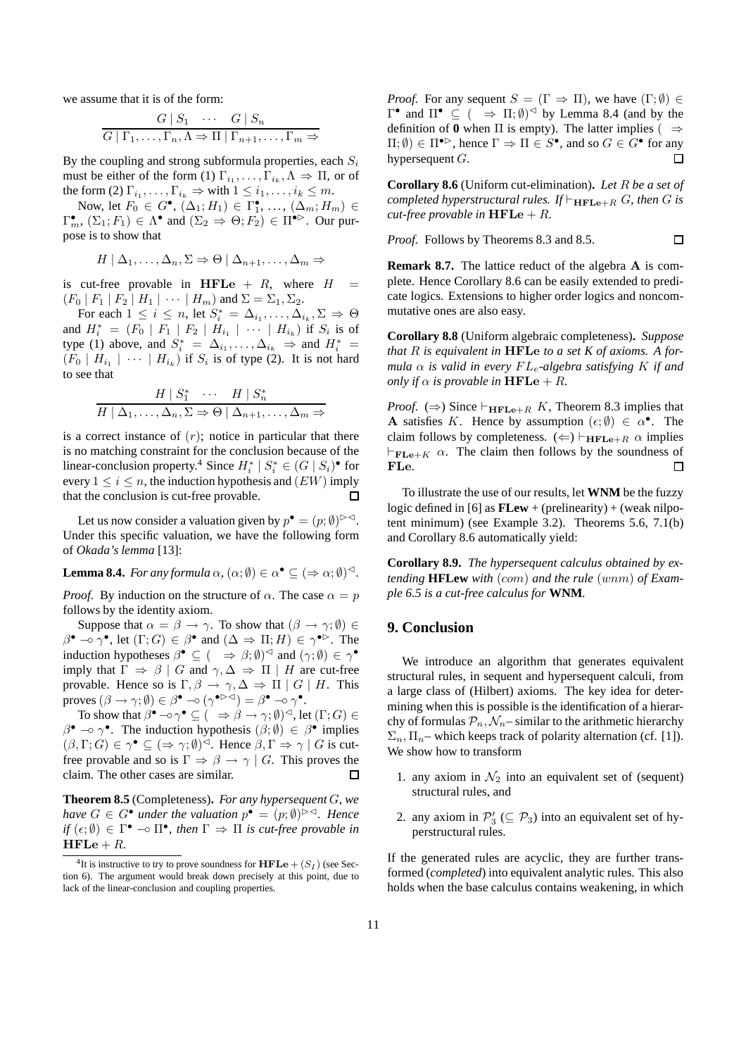we assume that it is of the form:

$$
\frac{G \mid S_1 \quad \cdots \quad G \mid S_n}{G \mid \Gamma_1, \ldots, \Gamma_n, \Lambda \Rightarrow \Pi \mid \Gamma_{n+1}, \ldots, \Gamma_m \Rightarrow}
$$

By the coupling and strong subformula properties, each  $S_i$ must be either of the form (1)  $\Gamma_{i_1}, \ldots, \Gamma_{i_k}, \Lambda \Rightarrow \Pi$ , or of the form (2)  $\Gamma_{i_1}, \ldots, \Gamma_{i_k} \Rightarrow$  with  $1 \leq i_1, \ldots, i_k \leq m$ .

Now, let  $F_0 \in G^{\bullet}$ ,  $(\Delta_1; H_1) \in \Gamma_1^{\bullet}$ , ...,  $(\Delta_m; H_m) \in$  $\Gamma_m^{\bullet}$ ,  $(\Sigma_1; F_1) \in \Lambda^{\bullet}$  and  $(\Sigma_2 \Rightarrow \Theta; F_2) \in \Pi^{\bullet \triangleright}$ . Our purpose is to show that

$$
H | \Delta_1, \ldots, \Delta_n, \Sigma \Rightarrow \Theta | \Delta_{n+1}, \ldots, \Delta_m \Rightarrow
$$

is cut-free provable in HFLe  $+$  R, where  $H =$  $(F_0 | F_1 | F_2 | H_1 | \cdots | H_m)$  and  $\Sigma = \Sigma_1, \Sigma_2$ .

For each  $1 \leq i \leq n$ , let  $S_i^* = \Delta_{i_1}, \ldots, \Delta_{i_k}, \Sigma \Rightarrow \Theta$ and  $H_i^* = (F_0 | F_1 | F_2 | H_{i_1} | \cdots | H_{i_k})$  if  $S_i$  is of type (1) above, and  $S_i^* = \Delta_{i_1}, \ldots, \Delta_{i_k} \Rightarrow$  and  $H_i^* =$  $(F_0 \mid H_{i_1} \mid \cdots \mid H_{i_k})$  if  $S_i$  is of type (2). It is not hard to see that

$$
\frac{H \mid S_1^* \quad \cdots \quad H \mid S_n^*}{H \mid \Delta_1, \ldots, \Delta_n, \Sigma \Rightarrow \Theta \mid \Delta_{n+1}, \ldots, \Delta_m \Rightarrow}
$$

is a correct instance of  $(r)$ ; notice in particular that there is no matching constraint for the conclusion because of the linear-conclusion property.<sup>4</sup> Since  $H_i^* | S_i^* \in (G | S_i)$ <sup>•</sup> for every  $1 \le i \le n$ , the induction hypothesis and  $(EW)$  imply that the conclusion is cut-free provable. П

Let us now consider a valuation given by  $p^{\bullet} = (p; \emptyset)^{|\geq 1}$ . Under this specific valuation, we have the following form of *Okada's lemma* [13]:

**Lemma 8.4.** *For any formula*  $\alpha$ ,  $(\alpha; \emptyset) \in \alpha^{\bullet} \subseteq (\Rightarrow \alpha; \emptyset)^{\preceq}$ .

*Proof.* By induction on the structure of  $\alpha$ . The case  $\alpha = p$ follows by the identity axiom.

Suppose that  $\alpha = \beta \rightarrow \gamma$ . To show that  $(\beta \rightarrow \gamma; \emptyset) \in$  $\beta^{\bullet} \multimap \gamma^{\bullet}$ , let  $(\Gamma; G) \in \beta^{\bullet}$  and  $(\Delta \Rightarrow \Pi; H) \in \gamma^{\bullet \triangleright}$ . The induction hypotheses  $\beta^{\bullet} \subseteq (\Rightarrow \beta; \emptyset)^{\triangleleft}$  and  $(\gamma; \emptyset) \in \gamma^{\bullet}$ imply that  $\Gamma \Rightarrow \beta \mid G$  and  $\gamma, \Delta \Rightarrow \Pi \mid H$  are cut-free provable. Hence so is  $\Gamma, \beta \to \gamma, \Delta \Rightarrow \Pi \mid G \mid H$ . This proves  $(\beta \to \gamma;\emptyset) \in \beta^{\bullet} \multimap (\gamma^{\bullet \triangleright \triangleleft}) = \beta^{\bullet} \multimap \gamma^{\bullet}.$ 

To show that  $\beta^{\bullet} \circ \gamma^{\bullet} \subseteq ( \Rightarrow \beta \to \gamma; \emptyset)^{\triangleleft}$ , let  $(\Gamma; G) \in$  $\beta^{\bullet} \to \gamma^{\bullet}$ . The induction hypothesis  $(\beta; \emptyset) \in \beta^{\bullet}$  implies  $(\beta, \Gamma; G) \in \gamma^{\bullet} \subseteq (\Rightarrow \gamma; \emptyset)^{\preceq}$ . Hence  $\beta, \Gamma \Rightarrow \gamma \mid G$  is cutfree provable and so is  $\Gamma \Rightarrow \beta \rightarrow \gamma \mid G$ . This proves the claim. The other cases are similar.  $\Box$ 

**Theorem 8.5** (Completeness)**.** *For any hypersequent* G*, we have*  $G \in G^{\bullet}$  *under the valuation*  $p^{\bullet} = (p; \emptyset)^{|\circ|}$ *. Hence if*  $(\epsilon; \emptyset) \in \Gamma^{\bullet} \to \Pi^{\bullet}$ , then  $\Gamma \Rightarrow \Pi$  *is cut-free provable in*  $HFLe + R$ 

*Proof.* For any sequent  $S = (\Gamma \Rightarrow \Pi)$ , we have  $(\Gamma; \emptyset) \in$  $Γ^{\bullet}$  and  $\Pi^{\bullet} \subseteq ($   $\Rightarrow$   $\Pi; \emptyset)^{\lhd}$  by Lemma 8.4 (and by the definition of **0** when  $\Pi$  is empty). The latter implies (  $\Rightarrow$  $\Pi$ ;  $\emptyset$ )  $\in \Pi^{\bullet \rhd}$ , hence  $\Gamma \Rightarrow \Pi \in S^{\bullet}$ , and so  $G \in G^{\bullet}$  for any hypersequent G.  $\Box$ 

**Corollary 8.6** (Uniform cut-elimination)**.** *Let* R *be a set of completed hyperstructural rules.* If  $\vdash_{\mathbf{HFLe}+R} G$ *, then* G *is cut-free provable in*  $HFLe + R$ *.* 

*Proof.* Follows by Theorems 8.3 and 8.5.

 $\Box$ 

**Remark 8.7.** The lattice reduct of the algebra A is complete. Hence Corollary 8.6 can be easily extended to predicate logics. Extensions to higher order logics and noncommutative ones are also easy.

**Corollary 8.8** (Uniform algebraic completeness)**.** *Suppose that* R *is equivalent in* HFLe *to a set K of axioms. A formula*  $\alpha$  *is valid in every*  $FL_e$ -algebra satisfying K if and *only if*  $\alpha$  *is provable in*  $HFLe + R$ *.* 

*Proof.* ( $\Rightarrow$ ) Since  $\vdash_{\textbf{HFLe}+R} K$ , Theorem 8.3 implies that A satisfies K. Hence by assumption  $(\epsilon; \emptyset) \in \alpha^{\bullet}$ . The claim follows by completeness.  $(\Leftarrow) \vdash_{\mathbf{HFLe}+R} \alpha$  implies  $\vdash_{\mathbf{FLe}+K} \alpha$ . The claim then follows by the soundness of FLe. П

To illustrate the use of our results, let **WNM** be the fuzzy logic defined in [6] as **FLew** + (prelinearity) + (weak nilpotent minimum) (see Example 3.2). Theorems 5.6, 7.1(b) and Corollary 8.6 automatically yield:

**Corollary 8.9.** *The hypersequent calculus obtained by extending* **HFLew** *with* (com) *and the rule* (wnm) *of Example 6.5 is a cut-free calculus for* **WNM***.*

### **9. Conclusion**

We introduce an algorithm that generates equivalent structural rules, in sequent and hypersequent calculi, from a large class of (Hilbert) axioms. The key idea for determining when this is possible is the identification of a hierarchy of formulas  $P_n$ ,  $\mathcal{N}_n$  – similar to the arithmetic hierarchy  $\Sigma_n$ ,  $\Pi_n$ – which keeps track of polarity alternation (cf. [1]). We show how to transform

- 1. any axiom in  $\mathcal{N}_2$  into an equivalent set of (sequent) structural rules, and
- 2. any axiom in  $\mathcal{P}'_3$  ( $\subseteq \mathcal{P}_3$ ) into an equivalent set of hyperstructural rules.

If the generated rules are acyclic, they are further transformed (*completed*) into equivalent analytic rules. This also holds when the base calculus contains weakening, in which

<sup>&</sup>lt;sup>4</sup>It is instructive to try to prove soundness for  $\mathbf{HFLe} + (S_I)$  (see Section 6). The argument would break down precisely at this point, due to lack of the linear-conclusion and coupling properties.